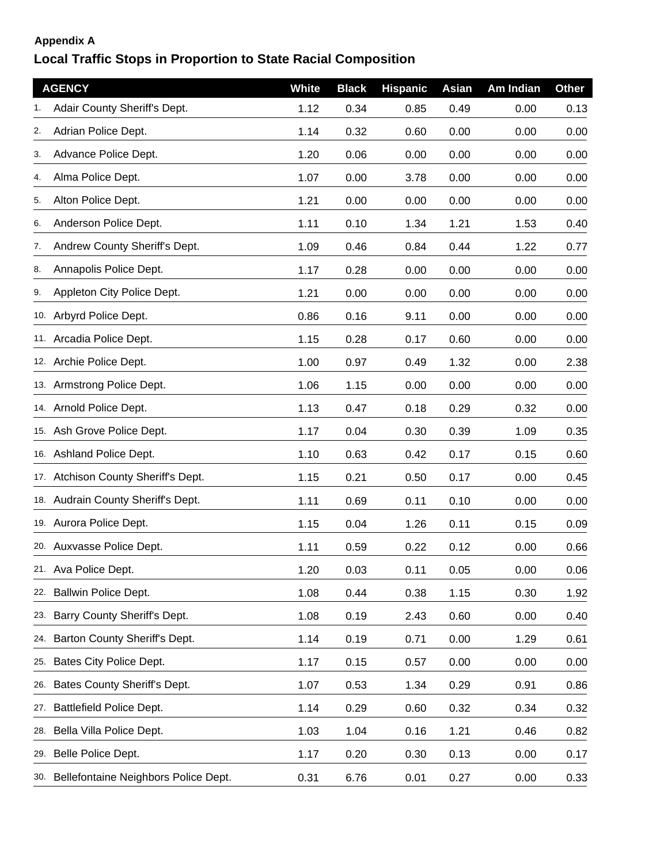## **Appendix A**

## **Local Traffic Stops in Proportion to State Racial Composition**

|     | <b>AGENCY</b>                        | White | <b>Black</b> | <b>Hispanic</b> | Asian | Am Indian | <b>Other</b> |
|-----|--------------------------------------|-------|--------------|-----------------|-------|-----------|--------------|
|     | Adair County Sheriff's Dept.         | 1.12  | 0.34         | 0.85            | 0.49  | 0.00      | 0.13         |
| 2.  | Adrian Police Dept.                  | 1.14  | 0.32         | 0.60            | 0.00  | 0.00      | 0.00         |
| 3.  | Advance Police Dept.                 | 1.20  | 0.06         | 0.00            | 0.00  | 0.00      | 0.00         |
| 4.  | Alma Police Dept.                    | 1.07  | 0.00         | 3.78            | 0.00  | 0.00      | 0.00         |
| 5.  | Alton Police Dept.                   | 1.21  | 0.00         | 0.00            | 0.00  | 0.00      | 0.00         |
| 6.  | Anderson Police Dept.                | 1.11  | 0.10         | 1.34            | 1.21  | 1.53      | 0.40         |
| 7.  | Andrew County Sheriff's Dept.        | 1.09  | 0.46         | 0.84            | 0.44  | 1.22      | 0.77         |
| 8.  | Annapolis Police Dept.               | 1.17  | 0.28         | 0.00            | 0.00  | 0.00      | 0.00         |
| 9.  | Appleton City Police Dept.           | 1.21  | 0.00         | 0.00            | 0.00  | 0.00      | 0.00         |
|     | 10. Arbyrd Police Dept.              | 0.86  | 0.16         | 9.11            | 0.00  | 0.00      | 0.00         |
|     | 11. Arcadia Police Dept.             | 1.15  | 0.28         | 0.17            | 0.60  | 0.00      | 0.00         |
|     | 12. Archie Police Dept.              | 1.00  | 0.97         | 0.49            | 1.32  | 0.00      | 2.38         |
|     | 13. Armstrong Police Dept.           | 1.06  | 1.15         | 0.00            | 0.00  | 0.00      | 0.00         |
|     | 14. Arnold Police Dept.              | 1.13  | 0.47         | 0.18            | 0.29  | 0.32      | 0.00         |
|     | 15. Ash Grove Police Dept.           | 1.17  | 0.04         | 0.30            | 0.39  | 1.09      | 0.35         |
|     | 16. Ashland Police Dept.             | 1.10  | 0.63         | 0.42            | 0.17  | 0.15      | 0.60         |
|     | 17. Atchison County Sheriff's Dept.  | 1.15  | 0.21         | 0.50            | 0.17  | 0.00      | 0.45         |
|     | 18. Audrain County Sheriff's Dept.   | 1.11  | 0.69         | 0.11            | 0.10  | 0.00      | 0.00         |
|     | 19. Aurora Police Dept.              | 1.15  | 0.04         | 1.26            | 0.11  | 0.15      | 0.09         |
|     | 20. Auxvasse Police Dept.            | 1.11  | 0.59         | 0.22            | 0.12  | 0.00      | 0.66         |
|     | 21. Ava Police Dept.                 | 1.20  | 0.03         | 0.11            | 0.05  | 0.00      | 0.06         |
| 22. | <b>Ballwin Police Dept.</b>          | 1.08  | 0.44         | 0.38            | 1.15  | 0.30      | 1.92         |
| 23. | Barry County Sheriff's Dept.         | 1.08  | 0.19         | 2.43            | 0.60  | 0.00      | 0.40         |
| 24. | Barton County Sheriff's Dept.        | 1.14  | 0.19         | 0.71            | 0.00  | 1.29      | 0.61         |
| 25. | Bates City Police Dept.              | 1.17  | 0.15         | 0.57            | 0.00  | 0.00      | 0.00         |
| 26. | Bates County Sheriff's Dept.         | 1.07  | 0.53         | 1.34            | 0.29  | 0.91      | 0.86         |
| 27. | Battlefield Police Dept.             | 1.14  | 0.29         | 0.60            | 0.32  | 0.34      | 0.32         |
| 28. | Bella Villa Police Dept.             | 1.03  | 1.04         | 0.16            | 1.21  | 0.46      | 0.82         |
| 29. | Belle Police Dept.                   | 1.17  | 0.20         | 0.30            | 0.13  | 0.00      | 0.17         |
| 30. | Bellefontaine Neighbors Police Dept. | 0.31  | 6.76         | 0.01            | 0.27  | 0.00      | 0.33         |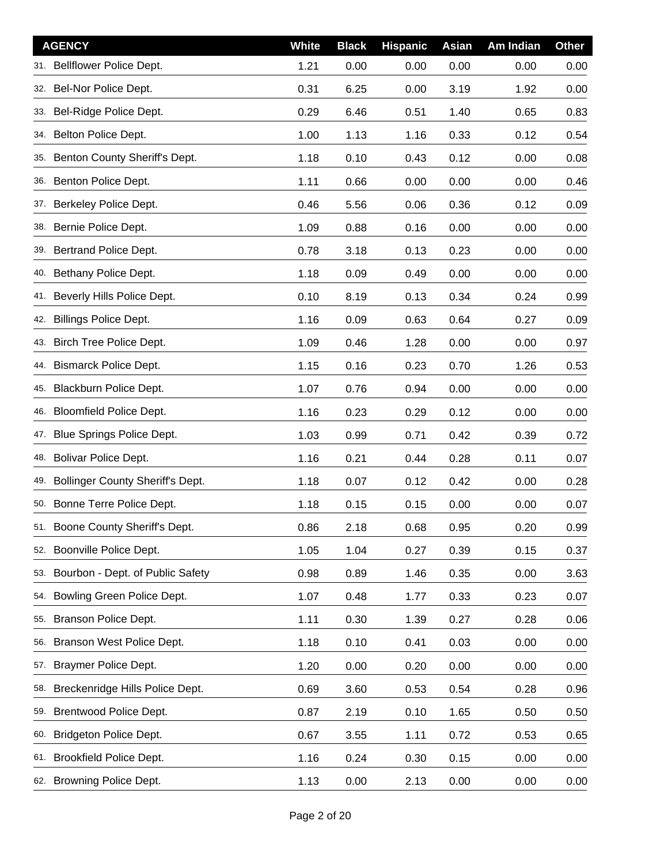|     | <b>AGENCY</b>                           | <b>White</b> | <b>Black</b> | <b>Hispanic</b> | Asian | Am Indian | <b>Other</b> |
|-----|-----------------------------------------|--------------|--------------|-----------------|-------|-----------|--------------|
| 31. | Bellflower Police Dept.                 | 1.21         | 0.00         | 0.00            | 0.00  | 0.00      | 0.00         |
|     | 32. Bel-Nor Police Dept.                | 0.31         | 6.25         | 0.00            | 3.19  | 1.92      | 0.00         |
| 33. | Bel-Ridge Police Dept.                  | 0.29         | 6.46         | 0.51            | 1.40  | 0.65      | 0.83         |
| 34. | Belton Police Dept.                     | 1.00         | 1.13         | 1.16            | 0.33  | 0.12      | 0.54         |
| 35. | Benton County Sheriff's Dept.           | 1.18         | 0.10         | 0.43            | 0.12  | 0.00      | 0.08         |
|     | 36. Benton Police Dept.                 | 1.11         | 0.66         | 0.00            | 0.00  | 0.00      | 0.46         |
| 37. | Berkeley Police Dept.                   | 0.46         | 5.56         | 0.06            | 0.36  | 0.12      | 0.09         |
| 38. | Bernie Police Dept.                     | 1.09         | 0.88         | 0.16            | 0.00  | 0.00      | 0.00         |
|     | 39. Bertrand Police Dept.               | 0.78         | 3.18         | 0.13            | 0.23  | 0.00      | 0.00         |
| 40. | Bethany Police Dept.                    | 1.18         | 0.09         | 0.49            | 0.00  | 0.00      | 0.00         |
|     | 41. Beverly Hills Police Dept.          | 0.10         | 8.19         | 0.13            | 0.34  | 0.24      | 0.99         |
| 42. | <b>Billings Police Dept.</b>            | 1.16         | 0.09         | 0.63            | 0.64  | 0.27      | 0.09         |
| 43. | Birch Tree Police Dept.                 | 1.09         | 0.46         | 1.28            | 0.00  | 0.00      | 0.97         |
| 44. | <b>Bismarck Police Dept.</b>            | 1.15         | 0.16         | 0.23            | 0.70  | 1.26      | 0.53         |
| 45. | Blackburn Police Dept.                  | 1.07         | 0.76         | 0.94            | 0.00  | 0.00      | 0.00         |
| 46. | <b>Bloomfield Police Dept.</b>          | 1.16         | 0.23         | 0.29            | 0.12  | 0.00      | 0.00         |
| 47. | Blue Springs Police Dept.               | 1.03         | 0.99         | 0.71            | 0.42  | 0.39      | 0.72         |
|     | 48. Bolivar Police Dept.                | 1.16         | 0.21         | 0.44            | 0.28  | 0.11      | 0.07         |
| 49. | <b>Bollinger County Sheriff's Dept.</b> | 1.18         | 0.07         | 0.12            | 0.42  | 0.00      | 0.28         |
|     | 50. Bonne Terre Police Dept.            | 1.18         | 0.15         | 0.15            | 0.00  | 0.00      | 0.07         |
|     | 51. Boone County Sheriff's Dept.        | 0.86         | 2.18         | 0.68            | 0.95  | 0.20      | 0.99         |
| 52. | Boonville Police Dept.                  | 1.05         | 1.04         | 0.27            | 0.39  | 0.15      | 0.37         |
| 53. | Bourbon - Dept. of Public Safety        | 0.98         | 0.89         | 1.46            | 0.35  | 0.00      | 3.63         |
| 54. | Bowling Green Police Dept.              | 1.07         | 0.48         | 1.77            | 0.33  | 0.23      | 0.07         |
| 55. | Branson Police Dept.                    | 1.11         | 0.30         | 1.39            | 0.27  | 0.28      | 0.06         |
| 56. | Branson West Police Dept.               | 1.18         | 0.10         | 0.41            | 0.03  | 0.00      | 0.00         |
| 57. | Braymer Police Dept.                    | 1.20         | 0.00         | 0.20            | 0.00  | 0.00      | 0.00         |
| 58. | Breckenridge Hills Police Dept.         | 0.69         | 3.60         | 0.53            | 0.54  | 0.28      | 0.96         |
| 59. | Brentwood Police Dept.                  | 0.87         | 2.19         | 0.10            | 1.65  | 0.50      | 0.50         |
| 60. | Bridgeton Police Dept.                  | 0.67         | 3.55         | 1.11            | 0.72  | 0.53      | 0.65         |
| 61. | <b>Brookfield Police Dept.</b>          | 1.16         | 0.24         | 0.30            | 0.15  | 0.00      | 0.00         |
|     | 62. Browning Police Dept.               | 1.13         | 0.00         | 2.13            | 0.00  | 0.00      | 0.00         |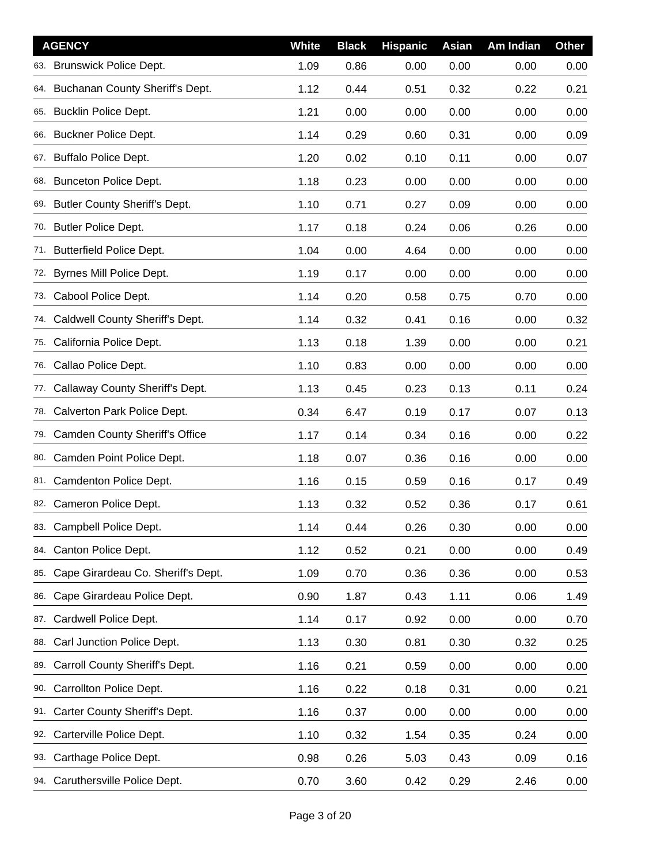|     | <b>AGENCY</b>                       | <b>White</b> | <b>Black</b> | <b>Hispanic</b> | Asian | Am Indian | <b>Other</b> |
|-----|-------------------------------------|--------------|--------------|-----------------|-------|-----------|--------------|
|     | 63. Brunswick Police Dept.          | 1.09         | 0.86         | 0.00            | 0.00  | 0.00      | 0.00         |
|     | 64. Buchanan County Sheriff's Dept. | 1.12         | 0.44         | 0.51            | 0.32  | 0.22      | 0.21         |
|     | 65. Bucklin Police Dept.            | 1.21         | 0.00         | 0.00            | 0.00  | 0.00      | 0.00         |
|     | 66. Buckner Police Dept.            | 1.14         | 0.29         | 0.60            | 0.31  | 0.00      | 0.09         |
|     | 67. Buffalo Police Dept.            | 1.20         | 0.02         | 0.10            | 0.11  | 0.00      | 0.07         |
|     | 68. Bunceton Police Dept.           | 1.18         | 0.23         | 0.00            | 0.00  | 0.00      | 0.00         |
|     | 69. Butler County Sheriff's Dept.   | 1.10         | 0.71         | 0.27            | 0.09  | 0.00      | 0.00         |
|     | 70. Butler Police Dept.             | 1.17         | 0.18         | 0.24            | 0.06  | 0.26      | 0.00         |
|     | 71. Butterfield Police Dept.        | 1.04         | 0.00         | 4.64            | 0.00  | 0.00      | 0.00         |
| 72. | Byrnes Mill Police Dept.            | 1.19         | 0.17         | 0.00            | 0.00  | 0.00      | 0.00         |
|     | 73. Cabool Police Dept.             | 1.14         | 0.20         | 0.58            | 0.75  | 0.70      | 0.00         |
| 74. | Caldwell County Sheriff's Dept.     | 1.14         | 0.32         | 0.41            | 0.16  | 0.00      | 0.32         |
| 75. | California Police Dept.             | 1.13         | 0.18         | 1.39            | 0.00  | 0.00      | 0.21         |
| 76. | Callao Police Dept.                 | 1.10         | 0.83         | 0.00            | 0.00  | 0.00      | 0.00         |
| 77. | Callaway County Sheriff's Dept.     | 1.13         | 0.45         | 0.23            | 0.13  | 0.11      | 0.24         |
| 78. | Calverton Park Police Dept.         | 0.34         | 6.47         | 0.19            | 0.17  | 0.07      | 0.13         |
|     | 79. Camden County Sheriff's Office  | 1.17         | 0.14         | 0.34            | 0.16  | 0.00      | 0.22         |
|     | 80. Camden Point Police Dept.       | 1.18         | 0.07         | 0.36            | 0.16  | 0.00      | 0.00         |
|     | 81. Camdenton Police Dept.          | 1.16         | 0.15         | 0.59            | 0.16  | 0.17      | 0.49         |
|     | 82. Cameron Police Dept.            | 1.13         | 0.32         | 0.52            | 0.36  | 0.17      | 0.61         |
|     | 83. Campbell Police Dept.           | 1.14         | 0.44         | 0.26            | 0.30  | 0.00      | 0.00         |
|     | 84. Canton Police Dept.             | 1.12         | 0.52         | 0.21            | 0.00  | 0.00      | 0.49         |
| 85. | Cape Girardeau Co. Sheriff's Dept.  | 1.09         | 0.70         | 0.36            | 0.36  | 0.00      | 0.53         |
| 86. | Cape Girardeau Police Dept.         | 0.90         | 1.87         | 0.43            | 1.11  | 0.06      | 1.49         |
| 87. | Cardwell Police Dept.               | 1.14         | 0.17         | 0.92            | 0.00  | 0.00      | 0.70         |
| 88. | Carl Junction Police Dept.          | 1.13         | 0.30         | 0.81            | 0.30  | 0.32      | 0.25         |
| 89. | Carroll County Sheriff's Dept.      | 1.16         | 0.21         | 0.59            | 0.00  | 0.00      | 0.00         |
| 90. | Carrollton Police Dept.             | 1.16         | 0.22         | 0.18            | 0.31  | 0.00      | 0.21         |
| 91. | Carter County Sheriff's Dept.       | 1.16         | 0.37         | 0.00            | 0.00  | 0.00      | 0.00         |
| 92. | Carterville Police Dept.            | 1.10         | 0.32         | 1.54            | 0.35  | 0.24      | 0.00         |
| 93. | Carthage Police Dept.               | 0.98         | 0.26         | 5.03            | 0.43  | 0.09      | 0.16         |
|     | 94. Caruthersville Police Dept.     | 0.70         | 3.60         | 0.42            | 0.29  | 2.46      | 0.00         |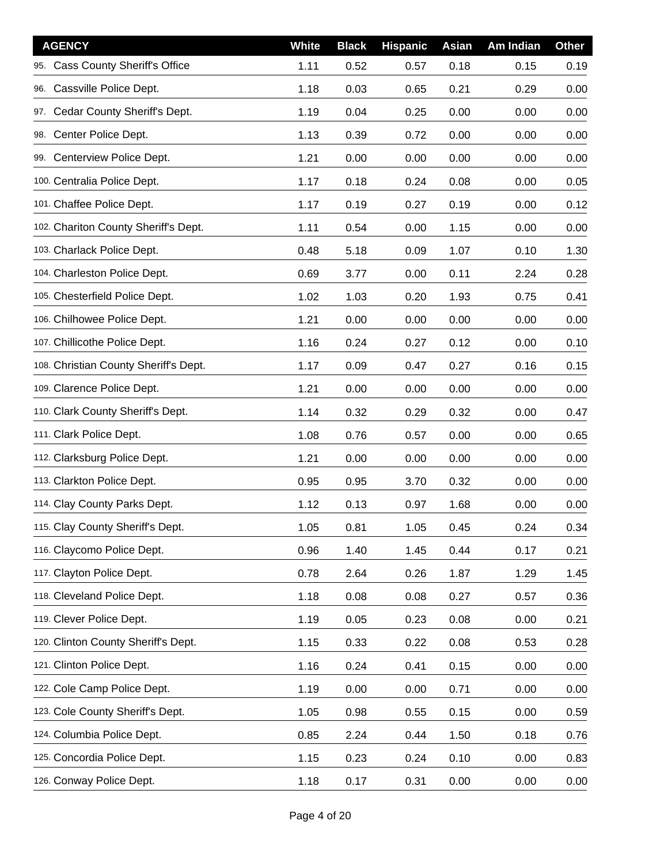| <b>AGENCY</b>                              | <b>White</b> | <b>Black</b> | <b>Hispanic</b> | Asian | Am Indian | <b>Other</b> |
|--------------------------------------------|--------------|--------------|-----------------|-------|-----------|--------------|
| <b>Cass County Sheriff's Office</b><br>95. | 1.11         | 0.52         | 0.57            | 0.18  | 0.15      | 0.19         |
| Cassville Police Dept.<br>96.              | 1.18         | 0.03         | 0.65            | 0.21  | 0.29      | 0.00         |
| 97. Cedar County Sheriff's Dept.           | 1.19         | 0.04         | 0.25            | 0.00  | 0.00      | 0.00         |
| Center Police Dept.<br>98.                 | 1.13         | 0.39         | 0.72            | 0.00  | 0.00      | 0.00         |
| 99. Centerview Police Dept.                | 1.21         | 0.00         | 0.00            | 0.00  | 0.00      | 0.00         |
| 100. Centralia Police Dept.                | 1.17         | 0.18         | 0.24            | 0.08  | 0.00      | 0.05         |
| 101. Chaffee Police Dept.                  | 1.17         | 0.19         | 0.27            | 0.19  | 0.00      | 0.12         |
| 102. Chariton County Sheriff's Dept.       | 1.11         | 0.54         | 0.00            | 1.15  | 0.00      | 0.00         |
| 103. Charlack Police Dept.                 | 0.48         | 5.18         | 0.09            | 1.07  | 0.10      | 1.30         |
| 104. Charleston Police Dept.               | 0.69         | 3.77         | 0.00            | 0.11  | 2.24      | 0.28         |
| 105. Chesterfield Police Dept.             | 1.02         | 1.03         | 0.20            | 1.93  | 0.75      | 0.41         |
| 106. Chilhowee Police Dept.                | 1.21         | 0.00         | 0.00            | 0.00  | 0.00      | 0.00         |
| 107. Chillicothe Police Dept.              | 1.16         | 0.24         | 0.27            | 0.12  | 0.00      | 0.10         |
| 108. Christian County Sheriff's Dept.      | 1.17         | 0.09         | 0.47            | 0.27  | 0.16      | 0.15         |
| 109. Clarence Police Dept.                 | 1.21         | 0.00         | 0.00            | 0.00  | 0.00      | 0.00         |
| 110. Clark County Sheriff's Dept.          | 1.14         | 0.32         | 0.29            | 0.32  | 0.00      | 0.47         |
| 111. Clark Police Dept.                    | 1.08         | 0.76         | 0.57            | 0.00  | 0.00      | 0.65         |
| 112. Clarksburg Police Dept.               | 1.21         | 0.00         | 0.00            | 0.00  | 0.00      | 0.00         |
| 113. Clarkton Police Dept.                 | 0.95         | 0.95         | 3.70            | 0.32  | 0.00      | 0.00         |
| 114. Clay County Parks Dept.               | 1.12         | 0.13         | 0.97            | 1.68  | 0.00      | 0.00         |
| 115. Clay County Sheriff's Dept.           | 1.05         | 0.81         | 1.05            | 0.45  | 0.24      | 0.34         |
| 116. Claycomo Police Dept.                 | 0.96         | 1.40         | 1.45            | 0.44  | 0.17      | 0.21         |
| 117. Clayton Police Dept.                  | 0.78         | 2.64         | 0.26            | 1.87  | 1.29      | 1.45         |
| 118. Cleveland Police Dept.                | 1.18         | 0.08         | 0.08            | 0.27  | 0.57      | 0.36         |
| 119. Clever Police Dept.                   | 1.19         | 0.05         | 0.23            | 0.08  | 0.00      | 0.21         |
| 120. Clinton County Sheriff's Dept.        | 1.15         | 0.33         | 0.22            | 0.08  | 0.53      | 0.28         |
| 121. Clinton Police Dept.                  | 1.16         | 0.24         | 0.41            | 0.15  | 0.00      | 0.00         |
| 122. Cole Camp Police Dept.                | 1.19         | 0.00         | 0.00            | 0.71  | 0.00      | 0.00         |
| 123. Cole County Sheriff's Dept.           | 1.05         | 0.98         | 0.55            | 0.15  | 0.00      | 0.59         |
| 124. Columbia Police Dept.                 | 0.85         | 2.24         | 0.44            | 1.50  | 0.18      | 0.76         |
| 125. Concordia Police Dept.                | 1.15         | 0.23         | 0.24            | 0.10  | 0.00      | 0.83         |
| 126. Conway Police Dept.                   | 1.18         | 0.17         | 0.31            | 0.00  | 0.00      | 0.00         |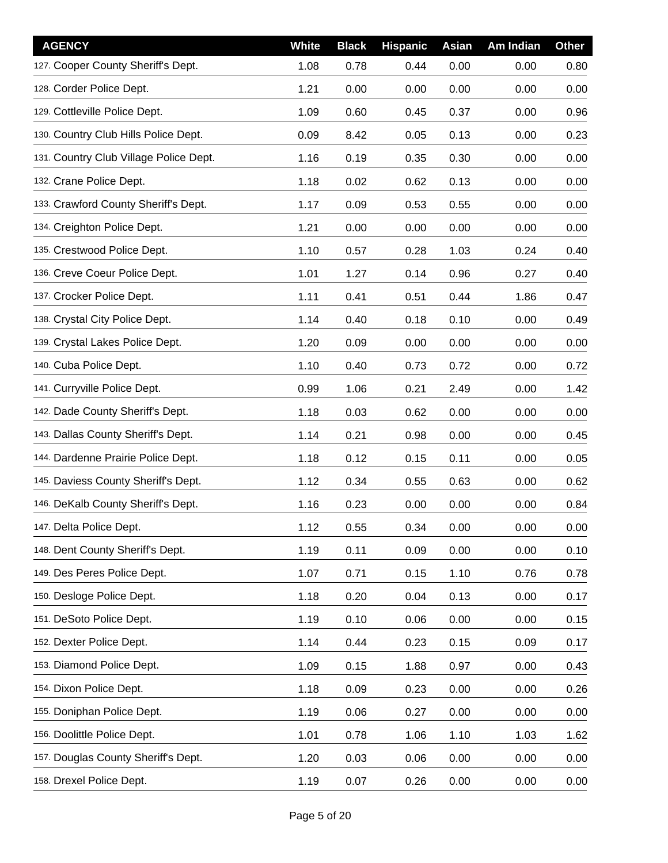| <b>AGENCY</b>                          | White | <b>Black</b> | <b>Hispanic</b> | Asian | Am Indian | <b>Other</b> |
|----------------------------------------|-------|--------------|-----------------|-------|-----------|--------------|
| 127. Cooper County Sheriff's Dept.     | 1.08  | 0.78         | 0.44            | 0.00  | 0.00      | 0.80         |
| 128. Corder Police Dept.               | 1.21  | 0.00         | 0.00            | 0.00  | 0.00      | 0.00         |
| 129. Cottleville Police Dept.          | 1.09  | 0.60         | 0.45            | 0.37  | 0.00      | 0.96         |
| 130. Country Club Hills Police Dept.   | 0.09  | 8.42         | 0.05            | 0.13  | 0.00      | 0.23         |
| 131. Country Club Village Police Dept. | 1.16  | 0.19         | 0.35            | 0.30  | 0.00      | 0.00         |
| 132. Crane Police Dept.                | 1.18  | 0.02         | 0.62            | 0.13  | 0.00      | 0.00         |
| 133. Crawford County Sheriff's Dept.   | 1.17  | 0.09         | 0.53            | 0.55  | 0.00      | 0.00         |
| 134. Creighton Police Dept.            | 1.21  | 0.00         | 0.00            | 0.00  | 0.00      | 0.00         |
| 135. Crestwood Police Dept.            | 1.10  | 0.57         | 0.28            | 1.03  | 0.24      | 0.40         |
| 136. Creve Coeur Police Dept.          | 1.01  | 1.27         | 0.14            | 0.96  | 0.27      | 0.40         |
| 137. Crocker Police Dept.              | 1.11  | 0.41         | 0.51            | 0.44  | 1.86      | 0.47         |
| 138. Crystal City Police Dept.         | 1.14  | 0.40         | 0.18            | 0.10  | 0.00      | 0.49         |
| 139. Crystal Lakes Police Dept.        | 1.20  | 0.09         | 0.00            | 0.00  | 0.00      | 0.00         |
| 140. Cuba Police Dept.                 | 1.10  | 0.40         | 0.73            | 0.72  | 0.00      | 0.72         |
| 141. Curryville Police Dept.           | 0.99  | 1.06         | 0.21            | 2.49  | 0.00      | 1.42         |
| 142. Dade County Sheriff's Dept.       | 1.18  | 0.03         | 0.62            | 0.00  | 0.00      | 0.00         |
| 143. Dallas County Sheriff's Dept.     | 1.14  | 0.21         | 0.98            | 0.00  | 0.00      | 0.45         |
| 144. Dardenne Prairie Police Dept.     | 1.18  | 0.12         | 0.15            | 0.11  | 0.00      | 0.05         |
| 145. Daviess County Sheriff's Dept.    | 1.12  | 0.34         | 0.55            | 0.63  | 0.00      | 0.62         |
| 146. DeKalb County Sheriff's Dept.     | 1.16  | 0.23         | 0.00            | 0.00  | 0.00      | 0.84         |
| 147. Delta Police Dept.                | 1.12  | 0.55         | 0.34            | 0.00  | 0.00      | 0.00         |
| 148. Dent County Sheriff's Dept.       | 1.19  | 0.11         | 0.09            | 0.00  | 0.00      | 0.10         |
| 149. Des Peres Police Dept.            | 1.07  | 0.71         | 0.15            | 1.10  | 0.76      | 0.78         |
| 150. Desloge Police Dept.              | 1.18  | 0.20         | 0.04            | 0.13  | 0.00      | 0.17         |
| 151. DeSoto Police Dept.               | 1.19  | 0.10         | 0.06            | 0.00  | 0.00      | 0.15         |
| 152. Dexter Police Dept.               | 1.14  | 0.44         | 0.23            | 0.15  | 0.09      | 0.17         |
| 153. Diamond Police Dept.              | 1.09  | 0.15         | 1.88            | 0.97  | 0.00      | 0.43         |
| 154. Dixon Police Dept.                | 1.18  | 0.09         | 0.23            | 0.00  | 0.00      | 0.26         |
| 155. Doniphan Police Dept.             | 1.19  | 0.06         | 0.27            | 0.00  | 0.00      | 0.00         |
| 156. Doolittle Police Dept.            | 1.01  | 0.78         | 1.06            | 1.10  | 1.03      | 1.62         |
| 157. Douglas County Sheriff's Dept.    | 1.20  | 0.03         | 0.06            | 0.00  | 0.00      | 0.00         |
| 158. Drexel Police Dept.               | 1.19  | 0.07         | 0.26            | 0.00  | 0.00      | 0.00         |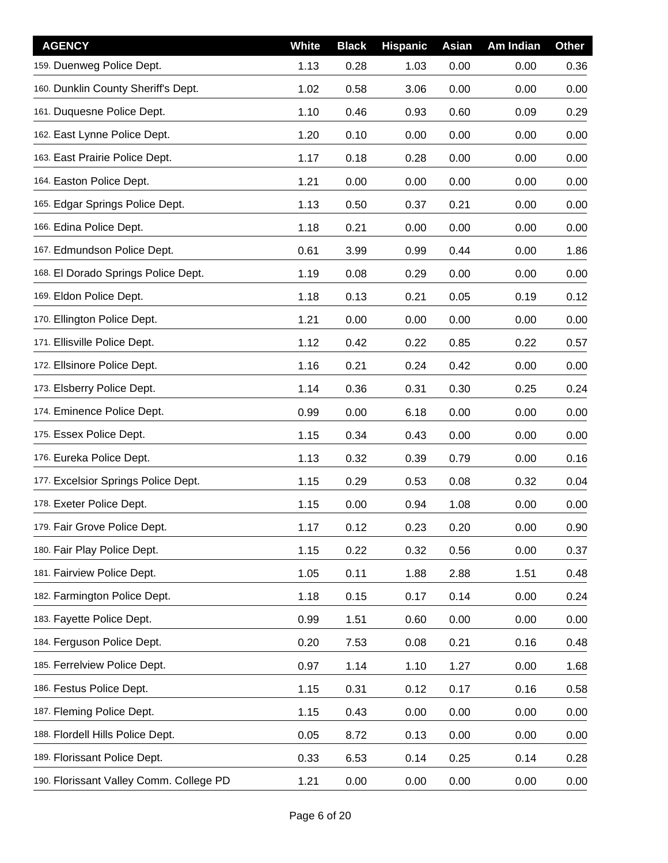| <b>AGENCY</b>                           | White | <b>Black</b> | <b>Hispanic</b> | Asian | Am Indian | <b>Other</b> |
|-----------------------------------------|-------|--------------|-----------------|-------|-----------|--------------|
| 159. Duenweg Police Dept.               | 1.13  | 0.28         | 1.03            | 0.00  | 0.00      | 0.36         |
| 160. Dunklin County Sheriff's Dept.     | 1.02  | 0.58         | 3.06            | 0.00  | 0.00      | 0.00         |
| 161. Duquesne Police Dept.              | 1.10  | 0.46         | 0.93            | 0.60  | 0.09      | 0.29         |
| 162. East Lynne Police Dept.            | 1.20  | 0.10         | 0.00            | 0.00  | 0.00      | 0.00         |
| 163. East Prairie Police Dept.          | 1.17  | 0.18         | 0.28            | 0.00  | 0.00      | 0.00         |
| 164. Easton Police Dept.                | 1.21  | 0.00         | 0.00            | 0.00  | 0.00      | 0.00         |
| 165. Edgar Springs Police Dept.         | 1.13  | 0.50         | 0.37            | 0.21  | 0.00      | 0.00         |
| 166. Edina Police Dept.                 | 1.18  | 0.21         | 0.00            | 0.00  | 0.00      | 0.00         |
| 167. Edmundson Police Dept.             | 0.61  | 3.99         | 0.99            | 0.44  | 0.00      | 1.86         |
| 168. El Dorado Springs Police Dept.     | 1.19  | 0.08         | 0.29            | 0.00  | 0.00      | 0.00         |
| 169. Eldon Police Dept.                 | 1.18  | 0.13         | 0.21            | 0.05  | 0.19      | 0.12         |
| 170. Ellington Police Dept.             | 1.21  | 0.00         | 0.00            | 0.00  | 0.00      | 0.00         |
| 171. Ellisville Police Dept.            | 1.12  | 0.42         | 0.22            | 0.85  | 0.22      | 0.57         |
| 172. Ellsinore Police Dept.             | 1.16  | 0.21         | 0.24            | 0.42  | 0.00      | 0.00         |
| 173. Elsberry Police Dept.              | 1.14  | 0.36         | 0.31            | 0.30  | 0.25      | 0.24         |
| 174. Eminence Police Dept.              | 0.99  | 0.00         | 6.18            | 0.00  | 0.00      | 0.00         |
| 175. Essex Police Dept.                 | 1.15  | 0.34         | 0.43            | 0.00  | 0.00      | 0.00         |
| 176. Eureka Police Dept.                | 1.13  | 0.32         | 0.39            | 0.79  | 0.00      | 0.16         |
| 177. Excelsior Springs Police Dept.     | 1.15  | 0.29         | 0.53            | 0.08  | 0.32      | 0.04         |
| 178. Exeter Police Dept.                | 1.15  | 0.00         | 0.94            | 1.08  | 0.00      | 0.00         |
| 179. Fair Grove Police Dept.            | 1.17  | 0.12         | 0.23            | 0.20  | 0.00      | 0.90         |
| 180. Fair Play Police Dept.             | 1.15  | 0.22         | 0.32            | 0.56  | 0.00      | 0.37         |
| 181. Fairview Police Dept.              | 1.05  | 0.11         | 1.88            | 2.88  | 1.51      | 0.48         |
| 182. Farmington Police Dept.            | 1.18  | 0.15         | 0.17            | 0.14  | 0.00      | 0.24         |
| 183. Fayette Police Dept.               | 0.99  | 1.51         | 0.60            | 0.00  | 0.00      | 0.00         |
| 184. Ferguson Police Dept.              | 0.20  | 7.53         | 0.08            | 0.21  | 0.16      | 0.48         |
| 185. Ferrelview Police Dept.            | 0.97  | 1.14         | 1.10            | 1.27  | 0.00      | 1.68         |
| 186. Festus Police Dept.                | 1.15  | 0.31         | 0.12            | 0.17  | 0.16      | 0.58         |
| 187. Fleming Police Dept.               | 1.15  | 0.43         | 0.00            | 0.00  | 0.00      | 0.00         |
| 188. Flordell Hills Police Dept.        | 0.05  | 8.72         | 0.13            | 0.00  | 0.00      | 0.00         |
| 189. Florissant Police Dept.            | 0.33  | 6.53         | 0.14            | 0.25  | 0.14      | 0.28         |
| 190. Florissant Valley Comm. College PD | 1.21  | 0.00         | 0.00            | 0.00  | 0.00      | 0.00         |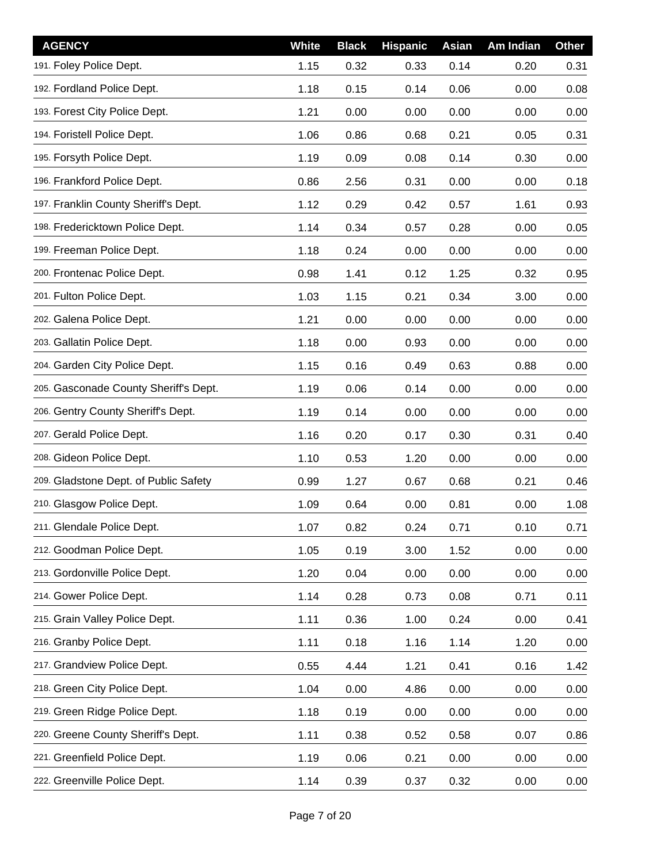| <b>AGENCY</b>                         | <b>White</b> | <b>Black</b> | <b>Hispanic</b> | Asian | Am Indian | <b>Other</b> |
|---------------------------------------|--------------|--------------|-----------------|-------|-----------|--------------|
| 191. Foley Police Dept.               | 1.15         | 0.32         | 0.33            | 0.14  | 0.20      | 0.31         |
| 192. Fordland Police Dept.            | 1.18         | 0.15         | 0.14            | 0.06  | 0.00      | 0.08         |
| 193. Forest City Police Dept.         | 1.21         | 0.00         | 0.00            | 0.00  | 0.00      | 0.00         |
| 194. Foristell Police Dept.           | 1.06         | 0.86         | 0.68            | 0.21  | 0.05      | 0.31         |
| 195. Forsyth Police Dept.             | 1.19         | 0.09         | 0.08            | 0.14  | 0.30      | 0.00         |
| 196. Frankford Police Dept.           | 0.86         | 2.56         | 0.31            | 0.00  | 0.00      | 0.18         |
| 197. Franklin County Sheriff's Dept.  | 1.12         | 0.29         | 0.42            | 0.57  | 1.61      | 0.93         |
| 198. Fredericktown Police Dept.       | 1.14         | 0.34         | 0.57            | 0.28  | 0.00      | 0.05         |
| 199. Freeman Police Dept.             | 1.18         | 0.24         | 0.00            | 0.00  | 0.00      | 0.00         |
| 200. Frontenac Police Dept.           | 0.98         | 1.41         | 0.12            | 1.25  | 0.32      | 0.95         |
| 201. Fulton Police Dept.              | 1.03         | 1.15         | 0.21            | 0.34  | 3.00      | 0.00         |
| 202. Galena Police Dept.              | 1.21         | 0.00         | 0.00            | 0.00  | 0.00      | 0.00         |
| 203. Gallatin Police Dept.            | 1.18         | 0.00         | 0.93            | 0.00  | 0.00      | 0.00         |
| 204. Garden City Police Dept.         | 1.15         | 0.16         | 0.49            | 0.63  | 0.88      | 0.00         |
| 205. Gasconade County Sheriff's Dept. | 1.19         | 0.06         | 0.14            | 0.00  | 0.00      | 0.00         |
| 206. Gentry County Sheriff's Dept.    | 1.19         | 0.14         | 0.00            | 0.00  | 0.00      | 0.00         |
| 207. Gerald Police Dept.              | 1.16         | 0.20         | 0.17            | 0.30  | 0.31      | 0.40         |
| 208. Gideon Police Dept.              | 1.10         | 0.53         | 1.20            | 0.00  | 0.00      | 0.00         |
| 209. Gladstone Dept. of Public Safety | 0.99         | 1.27         | 0.67            | 0.68  | 0.21      | 0.46         |
| 210. Glasgow Police Dept.             | 1.09         | 0.64         | 0.00            | 0.81  | 0.00      | 1.08         |
| 211. Glendale Police Dept.            | 1.07         | 0.82         | 0.24            | 0.71  | 0.10      | 0.71         |
| 212. Goodman Police Dept.             | 1.05         | 0.19         | 3.00            | 1.52  | 0.00      | 0.00         |
| 213. Gordonville Police Dept.         | 1.20         | 0.04         | 0.00            | 0.00  | 0.00      | 0.00         |
| 214. Gower Police Dept.               | 1.14         | 0.28         | 0.73            | 0.08  | 0.71      | 0.11         |
| 215. Grain Valley Police Dept.        | 1.11         | 0.36         | 1.00            | 0.24  | 0.00      | 0.41         |
| 216. Granby Police Dept.              | 1.11         | 0.18         | 1.16            | 1.14  | 1.20      | 0.00         |
| 217. Grandview Police Dept.           | 0.55         | 4.44         | 1.21            | 0.41  | 0.16      | 1.42         |
| 218. Green City Police Dept.          | 1.04         | 0.00         | 4.86            | 0.00  | 0.00      | 0.00         |
| 219. Green Ridge Police Dept.         | 1.18         | 0.19         | 0.00            | 0.00  | 0.00      | 0.00         |
| 220. Greene County Sheriff's Dept.    | 1.11         | 0.38         | 0.52            | 0.58  | 0.07      | 0.86         |
| 221. Greenfield Police Dept.          | 1.19         | 0.06         | 0.21            | 0.00  | 0.00      | 0.00         |
| 222. Greenville Police Dept.          | 1.14         | 0.39         | 0.37            | 0.32  | 0.00      | 0.00         |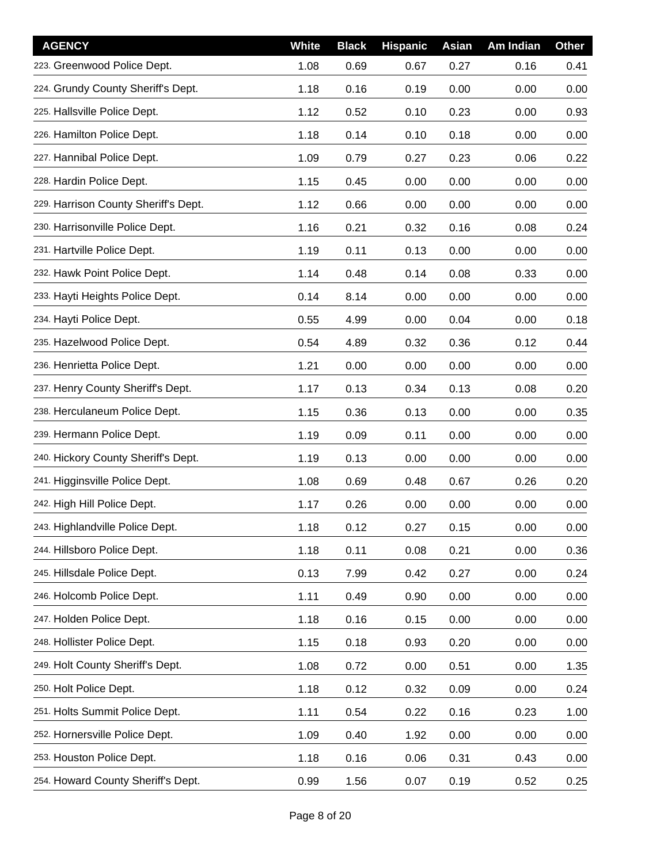| <b>AGENCY</b>                        | <b>White</b> | <b>Black</b> | <b>Hispanic</b> | Asian | Am Indian | <b>Other</b> |
|--------------------------------------|--------------|--------------|-----------------|-------|-----------|--------------|
| 223. Greenwood Police Dept.          | 1.08         | 0.69         | 0.67            | 0.27  | 0.16      | 0.41         |
| 224. Grundy County Sheriff's Dept.   | 1.18         | 0.16         | 0.19            | 0.00  | 0.00      | 0.00         |
| 225. Hallsville Police Dept.         | 1.12         | 0.52         | 0.10            | 0.23  | 0.00      | 0.93         |
| 226. Hamilton Police Dept.           | 1.18         | 0.14         | 0.10            | 0.18  | 0.00      | 0.00         |
| 227. Hannibal Police Dept.           | 1.09         | 0.79         | 0.27            | 0.23  | 0.06      | 0.22         |
| 228. Hardin Police Dept.             | 1.15         | 0.45         | 0.00            | 0.00  | 0.00      | 0.00         |
| 229. Harrison County Sheriff's Dept. | 1.12         | 0.66         | 0.00            | 0.00  | 0.00      | 0.00         |
| 230. Harrisonville Police Dept.      | 1.16         | 0.21         | 0.32            | 0.16  | 0.08      | 0.24         |
| 231. Hartville Police Dept.          | 1.19         | 0.11         | 0.13            | 0.00  | 0.00      | 0.00         |
| 232. Hawk Point Police Dept.         | 1.14         | 0.48         | 0.14            | 0.08  | 0.33      | 0.00         |
| 233. Hayti Heights Police Dept.      | 0.14         | 8.14         | 0.00            | 0.00  | 0.00      | 0.00         |
| 234. Hayti Police Dept.              | 0.55         | 4.99         | 0.00            | 0.04  | 0.00      | 0.18         |
| 235. Hazelwood Police Dept.          | 0.54         | 4.89         | 0.32            | 0.36  | 0.12      | 0.44         |
| 236. Henrietta Police Dept.          | 1.21         | 0.00         | 0.00            | 0.00  | 0.00      | 0.00         |
| 237. Henry County Sheriff's Dept.    | 1.17         | 0.13         | 0.34            | 0.13  | 0.08      | 0.20         |
| 238. Herculaneum Police Dept.        | 1.15         | 0.36         | 0.13            | 0.00  | 0.00      | 0.35         |
| 239. Hermann Police Dept.            | 1.19         | 0.09         | 0.11            | 0.00  | 0.00      | 0.00         |
| 240. Hickory County Sheriff's Dept.  | 1.19         | 0.13         | 0.00            | 0.00  | 0.00      | 0.00         |
| 241. Higginsville Police Dept.       | 1.08         | 0.69         | 0.48            | 0.67  | 0.26      | 0.20         |
| 242. High Hill Police Dept.          | 1.17         | 0.26         | 0.00            | 0.00  | 0.00      | 0.00         |
| 243. Highlandville Police Dept.      | 1.18         | 0.12         | 0.27            | 0.15  | 0.00      | 0.00         |
| 244. Hillsboro Police Dept.          | 1.18         | 0.11         | 0.08            | 0.21  | 0.00      | 0.36         |
| 245. Hillsdale Police Dept.          | 0.13         | 7.99         | 0.42            | 0.27  | 0.00      | 0.24         |
| 246. Holcomb Police Dept.            | 1.11         | 0.49         | 0.90            | 0.00  | 0.00      | 0.00         |
| 247. Holden Police Dept.             | 1.18         | 0.16         | 0.15            | 0.00  | 0.00      | 0.00         |
| 248. Hollister Police Dept.          | 1.15         | 0.18         | 0.93            | 0.20  | 0.00      | 0.00         |
| 249. Holt County Sheriff's Dept.     | 1.08         | 0.72         | 0.00            | 0.51  | 0.00      | 1.35         |
| 250. Holt Police Dept.               | 1.18         | 0.12         | 0.32            | 0.09  | 0.00      | 0.24         |
| 251. Holts Summit Police Dept.       | 1.11         | 0.54         | 0.22            | 0.16  | 0.23      | 1.00         |
| 252. Hornersville Police Dept.       | 1.09         | 0.40         | 1.92            | 0.00  | 0.00      | 0.00         |
| 253. Houston Police Dept.            | 1.18         | 0.16         | 0.06            | 0.31  | 0.43      | 0.00         |
| 254. Howard County Sheriff's Dept.   | 0.99         | 1.56         | 0.07            | 0.19  | 0.52      | 0.25         |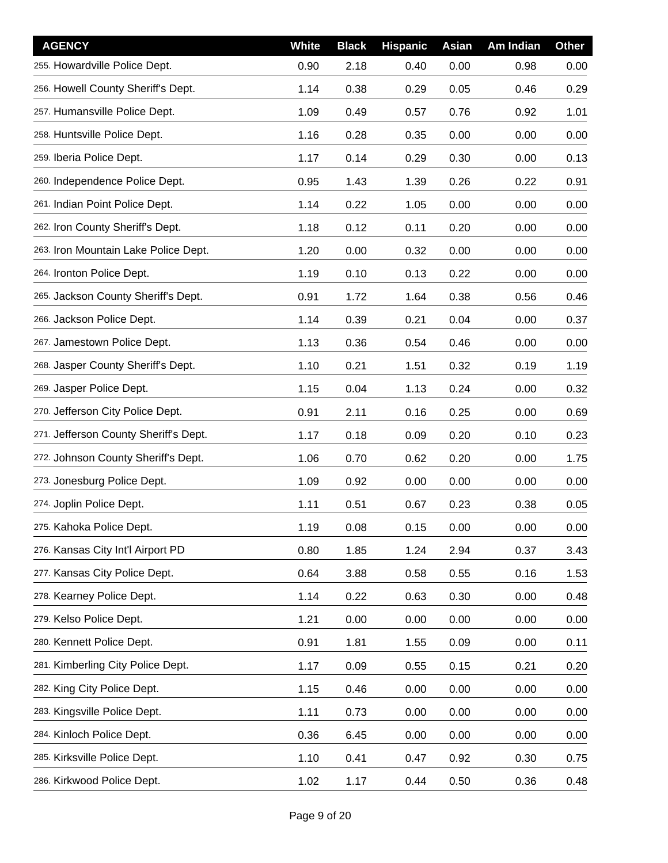| <b>AGENCY</b>                         | White | <b>Black</b> | <b>Hispanic</b> | Asian | Am Indian | <b>Other</b> |
|---------------------------------------|-------|--------------|-----------------|-------|-----------|--------------|
| 255. Howardville Police Dept.         | 0.90  | 2.18         | 0.40            | 0.00  | 0.98      | 0.00         |
| 256. Howell County Sheriff's Dept.    | 1.14  | 0.38         | 0.29            | 0.05  | 0.46      | 0.29         |
| 257. Humansville Police Dept.         | 1.09  | 0.49         | 0.57            | 0.76  | 0.92      | 1.01         |
| 258. Huntsville Police Dept.          | 1.16  | 0.28         | 0.35            | 0.00  | 0.00      | 0.00         |
| 259. Iberia Police Dept.              | 1.17  | 0.14         | 0.29            | 0.30  | 0.00      | 0.13         |
| 260. Independence Police Dept.        | 0.95  | 1.43         | 1.39            | 0.26  | 0.22      | 0.91         |
| 261. Indian Point Police Dept.        | 1.14  | 0.22         | 1.05            | 0.00  | 0.00      | 0.00         |
| 262. Iron County Sheriff's Dept.      | 1.18  | 0.12         | 0.11            | 0.20  | 0.00      | 0.00         |
| 263. Iron Mountain Lake Police Dept.  | 1.20  | 0.00         | 0.32            | 0.00  | 0.00      | 0.00         |
| 264. Ironton Police Dept.             | 1.19  | 0.10         | 0.13            | 0.22  | 0.00      | 0.00         |
| 265. Jackson County Sheriff's Dept.   | 0.91  | 1.72         | 1.64            | 0.38  | 0.56      | 0.46         |
| 266. Jackson Police Dept.             | 1.14  | 0.39         | 0.21            | 0.04  | 0.00      | 0.37         |
| 267. Jamestown Police Dept.           | 1.13  | 0.36         | 0.54            | 0.46  | 0.00      | 0.00         |
| 268. Jasper County Sheriff's Dept.    | 1.10  | 0.21         | 1.51            | 0.32  | 0.19      | 1.19         |
| 269. Jasper Police Dept.              | 1.15  | 0.04         | 1.13            | 0.24  | 0.00      | 0.32         |
| 270. Jefferson City Police Dept.      | 0.91  | 2.11         | 0.16            | 0.25  | 0.00      | 0.69         |
| 271. Jefferson County Sheriff's Dept. | 1.17  | 0.18         | 0.09            | 0.20  | 0.10      | 0.23         |
| 272. Johnson County Sheriff's Dept.   | 1.06  | 0.70         | 0.62            | 0.20  | 0.00      | 1.75         |
| 273. Jonesburg Police Dept.           | 1.09  | 0.92         | 0.00            | 0.00  | 0.00      | 0.00         |
| 274. Joplin Police Dept.              | 1.11  | 0.51         | 0.67            | 0.23  | 0.38      | 0.05         |
| 275. Kahoka Police Dept.              | 1.19  | 0.08         | 0.15            | 0.00  | 0.00      | 0.00         |
| 276. Kansas City Int'l Airport PD     | 0.80  | 1.85         | 1.24            | 2.94  | 0.37      | 3.43         |
| 277. Kansas City Police Dept.         | 0.64  | 3.88         | 0.58            | 0.55  | 0.16      | 1.53         |
| 278. Kearney Police Dept.             | 1.14  | 0.22         | 0.63            | 0.30  | 0.00      | 0.48         |
| 279. Kelso Police Dept.               | 1.21  | 0.00         | 0.00            | 0.00  | 0.00      | 0.00         |
| 280. Kennett Police Dept.             | 0.91  | 1.81         | 1.55            | 0.09  | 0.00      | 0.11         |
| 281. Kimberling City Police Dept.     | 1.17  | 0.09         | 0.55            | 0.15  | 0.21      | 0.20         |
| 282. King City Police Dept.           | 1.15  | 0.46         | 0.00            | 0.00  | 0.00      | 0.00         |
| 283. Kingsville Police Dept.          | 1.11  | 0.73         | 0.00            | 0.00  | 0.00      | 0.00         |
| 284. Kinloch Police Dept.             | 0.36  | 6.45         | 0.00            | 0.00  | 0.00      | 0.00         |
| 285. Kirksville Police Dept.          | 1.10  | 0.41         | 0.47            | 0.92  | 0.30      | 0.75         |
| 286. Kirkwood Police Dept.            | 1.02  | 1.17         | 0.44            | 0.50  | 0.36      | 0.48         |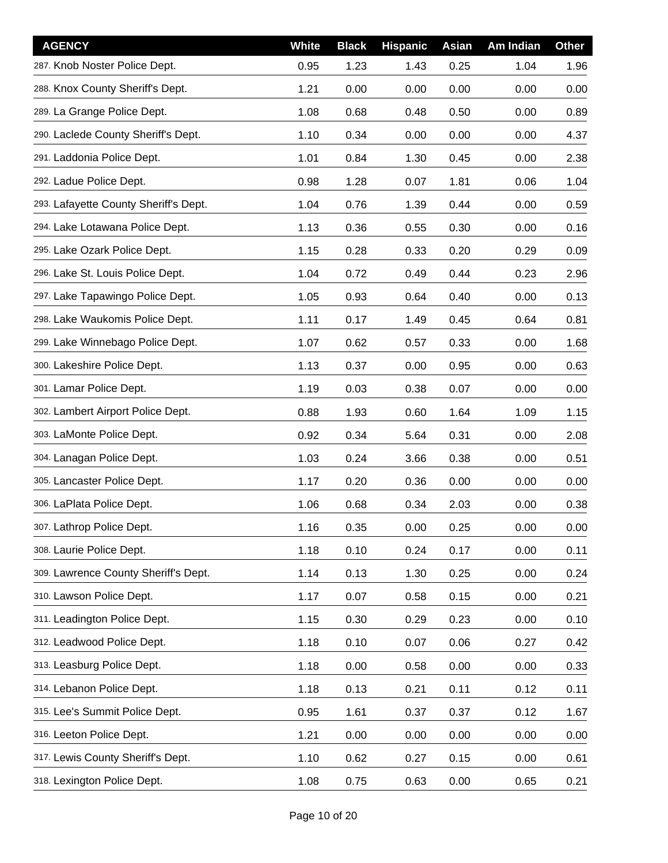| <b>AGENCY</b>                         | White | <b>Black</b> | <b>Hispanic</b> | Asian | Am Indian | <b>Other</b> |
|---------------------------------------|-------|--------------|-----------------|-------|-----------|--------------|
| 287. Knob Noster Police Dept.         | 0.95  | 1.23         | 1.43            | 0.25  | 1.04      | 1.96         |
| 288. Knox County Sheriff's Dept.      | 1.21  | 0.00         | 0.00            | 0.00  | 0.00      | 0.00         |
| 289. La Grange Police Dept.           | 1.08  | 0.68         | 0.48            | 0.50  | 0.00      | 0.89         |
| 290. Laclede County Sheriff's Dept.   | 1.10  | 0.34         | 0.00            | 0.00  | 0.00      | 4.37         |
| 291. Laddonia Police Dept.            | 1.01  | 0.84         | 1.30            | 0.45  | 0.00      | 2.38         |
| 292. Ladue Police Dept.               | 0.98  | 1.28         | 0.07            | 1.81  | 0.06      | 1.04         |
| 293. Lafayette County Sheriff's Dept. | 1.04  | 0.76         | 1.39            | 0.44  | 0.00      | 0.59         |
| 294. Lake Lotawana Police Dept.       | 1.13  | 0.36         | 0.55            | 0.30  | 0.00      | 0.16         |
| 295. Lake Ozark Police Dept.          | 1.15  | 0.28         | 0.33            | 0.20  | 0.29      | 0.09         |
| 296. Lake St. Louis Police Dept.      | 1.04  | 0.72         | 0.49            | 0.44  | 0.23      | 2.96         |
| 297. Lake Tapawingo Police Dept.      | 1.05  | 0.93         | 0.64            | 0.40  | 0.00      | 0.13         |
| 298. Lake Waukomis Police Dept.       | 1.11  | 0.17         | 1.49            | 0.45  | 0.64      | 0.81         |
| 299. Lake Winnebago Police Dept.      | 1.07  | 0.62         | 0.57            | 0.33  | 0.00      | 1.68         |
| 300. Lakeshire Police Dept.           | 1.13  | 0.37         | 0.00            | 0.95  | 0.00      | 0.63         |
| 301. Lamar Police Dept.               | 1.19  | 0.03         | 0.38            | 0.07  | 0.00      | 0.00         |
| 302. Lambert Airport Police Dept.     | 0.88  | 1.93         | 0.60            | 1.64  | 1.09      | 1.15         |
| 303. LaMonte Police Dept.             | 0.92  | 0.34         | 5.64            | 0.31  | 0.00      | 2.08         |
| 304. Lanagan Police Dept.             | 1.03  | 0.24         | 3.66            | 0.38  | 0.00      | 0.51         |
| 305. Lancaster Police Dept.           | 1.17  | 0.20         | 0.36            | 0.00  | 0.00      | 0.00         |
| 306. LaPlata Police Dept.             | 1.06  | 0.68         | 0.34            | 2.03  | 0.00      | 0.38         |
| 307. Lathrop Police Dept.             | 1.16  | 0.35         | 0.00            | 0.25  | 0.00      | 0.00         |
| 308. Laurie Police Dept.              | 1.18  | 0.10         | 0.24            | 0.17  | 0.00      | 0.11         |
| 309. Lawrence County Sheriff's Dept.  | 1.14  | 0.13         | 1.30            | 0.25  | 0.00      | 0.24         |
| 310. Lawson Police Dept.              | 1.17  | 0.07         | 0.58            | 0.15  | 0.00      | 0.21         |
| 311. Leadington Police Dept.          | 1.15  | 0.30         | 0.29            | 0.23  | 0.00      | 0.10         |
| 312. Leadwood Police Dept.            | 1.18  | 0.10         | 0.07            | 0.06  | 0.27      | 0.42         |
| 313. Leasburg Police Dept.            | 1.18  | 0.00         | 0.58            | 0.00  | 0.00      | 0.33         |
| 314. Lebanon Police Dept.             | 1.18  | 0.13         | 0.21            | 0.11  | 0.12      | 0.11         |
| 315. Lee's Summit Police Dept.        | 0.95  | 1.61         | 0.37            | 0.37  | 0.12      | 1.67         |
| 316. Leeton Police Dept.              | 1.21  | 0.00         | 0.00            | 0.00  | 0.00      | 0.00         |
| 317. Lewis County Sheriff's Dept.     | 1.10  | 0.62         | 0.27            | 0.15  | 0.00      | 0.61         |
| 318. Lexington Police Dept.           | 1.08  | 0.75         | 0.63            | 0.00  | 0.65      | 0.21         |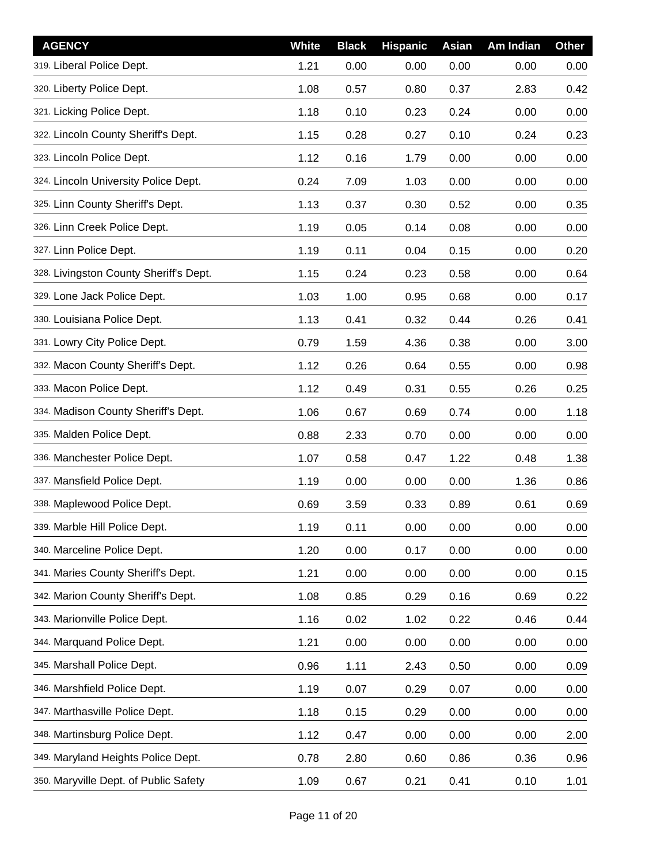| <b>AGENCY</b>                          | <b>White</b> | <b>Black</b> | <b>Hispanic</b> | Asian | Am Indian | <b>Other</b> |
|----------------------------------------|--------------|--------------|-----------------|-------|-----------|--------------|
| 319. Liberal Police Dept.              | 1.21         | 0.00         | 0.00            | 0.00  | 0.00      | 0.00         |
| 320. Liberty Police Dept.              | 1.08         | 0.57         | 0.80            | 0.37  | 2.83      | 0.42         |
| 321. Licking Police Dept.              | 1.18         | 0.10         | 0.23            | 0.24  | 0.00      | 0.00         |
| 322. Lincoln County Sheriff's Dept.    | 1.15         | 0.28         | 0.27            | 0.10  | 0.24      | 0.23         |
| 323. Lincoln Police Dept.              | 1.12         | 0.16         | 1.79            | 0.00  | 0.00      | 0.00         |
| 324. Lincoln University Police Dept.   | 0.24         | 7.09         | 1.03            | 0.00  | 0.00      | 0.00         |
| 325. Linn County Sheriff's Dept.       | 1.13         | 0.37         | 0.30            | 0.52  | 0.00      | 0.35         |
| 326. Linn Creek Police Dept.           | 1.19         | 0.05         | 0.14            | 0.08  | 0.00      | 0.00         |
| 327. Linn Police Dept.                 | 1.19         | 0.11         | 0.04            | 0.15  | 0.00      | 0.20         |
| 328. Livingston County Sheriff's Dept. | 1.15         | 0.24         | 0.23            | 0.58  | 0.00      | 0.64         |
| 329. Lone Jack Police Dept.            | 1.03         | 1.00         | 0.95            | 0.68  | 0.00      | 0.17         |
| 330. Louisiana Police Dept.            | 1.13         | 0.41         | 0.32            | 0.44  | 0.26      | 0.41         |
| 331. Lowry City Police Dept.           | 0.79         | 1.59         | 4.36            | 0.38  | 0.00      | 3.00         |
| 332. Macon County Sheriff's Dept.      | 1.12         | 0.26         | 0.64            | 0.55  | 0.00      | 0.98         |
| 333. Macon Police Dept.                | 1.12         | 0.49         | 0.31            | 0.55  | 0.26      | 0.25         |
| 334. Madison County Sheriff's Dept.    | 1.06         | 0.67         | 0.69            | 0.74  | 0.00      | 1.18         |
| 335. Malden Police Dept.               | 0.88         | 2.33         | 0.70            | 0.00  | 0.00      | 0.00         |
| 336. Manchester Police Dept.           | 1.07         | 0.58         | 0.47            | 1.22  | 0.48      | 1.38         |
| 337. Mansfield Police Dept.            | 1.19         | 0.00         | 0.00            | 0.00  | 1.36      | 0.86         |
| 338. Maplewood Police Dept.            | 0.69         | 3.59         | 0.33            | 0.89  | 0.61      | 0.69         |
| 339. Marble Hill Police Dept.          | 1.19         | 0.11         | 0.00            | 0.00  | 0.00      | 0.00         |
| 340. Marceline Police Dept.            | 1.20         | 0.00         | 0.17            | 0.00  | 0.00      | 0.00         |
| 341. Maries County Sheriff's Dept.     | 1.21         | 0.00         | 0.00            | 0.00  | 0.00      | 0.15         |
| 342. Marion County Sheriff's Dept.     | 1.08         | 0.85         | 0.29            | 0.16  | 0.69      | 0.22         |
| 343. Marionville Police Dept.          | 1.16         | 0.02         | 1.02            | 0.22  | 0.46      | 0.44         |
| 344. Marquand Police Dept.             | 1.21         | 0.00         | 0.00            | 0.00  | 0.00      | 0.00         |
| 345. Marshall Police Dept.             | 0.96         | 1.11         | 2.43            | 0.50  | 0.00      | 0.09         |
| 346. Marshfield Police Dept.           | 1.19         | 0.07         | 0.29            | 0.07  | 0.00      | 0.00         |
| 347. Marthasville Police Dept.         | 1.18         | 0.15         | 0.29            | 0.00  | 0.00      | 0.00         |
| 348. Martinsburg Police Dept.          | 1.12         | 0.47         | 0.00            | 0.00  | 0.00      | 2.00         |
| 349. Maryland Heights Police Dept.     | 0.78         | 2.80         | 0.60            | 0.86  | 0.36      | 0.96         |
| 350. Maryville Dept. of Public Safety  | 1.09         | 0.67         | 0.21            | 0.41  | 0.10      | 1.01         |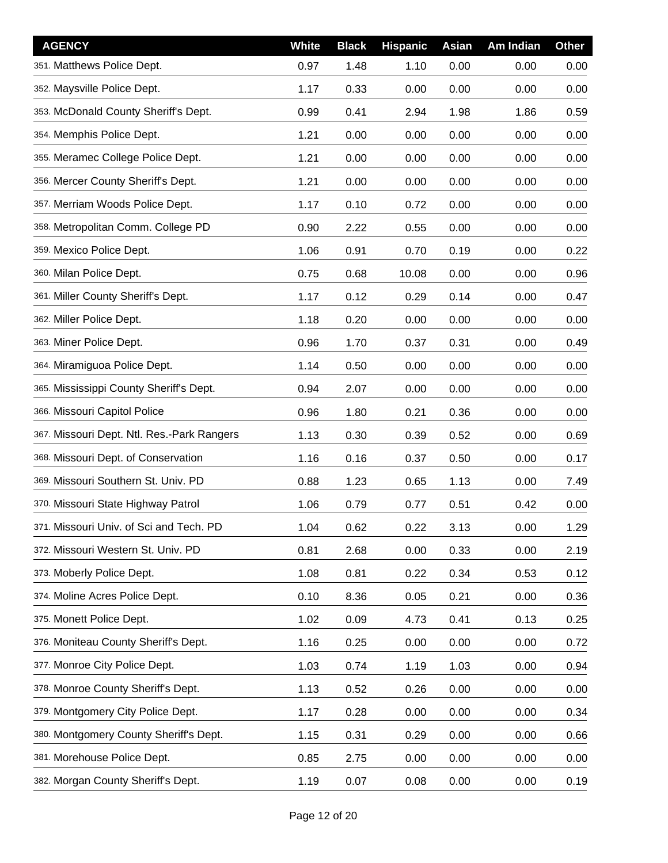| <b>AGENCY</b>                              | White | <b>Black</b> | <b>Hispanic</b> | <b>Asian</b> | Am Indian | <b>Other</b> |
|--------------------------------------------|-------|--------------|-----------------|--------------|-----------|--------------|
| 351. Matthews Police Dept.                 | 0.97  | 1.48         | 1.10            | 0.00         | 0.00      | 0.00         |
| 352. Maysville Police Dept.                | 1.17  | 0.33         | 0.00            | 0.00         | 0.00      | 0.00         |
| 353. McDonald County Sheriff's Dept.       | 0.99  | 0.41         | 2.94            | 1.98         | 1.86      | 0.59         |
| 354. Memphis Police Dept.                  | 1.21  | 0.00         | 0.00            | 0.00         | 0.00      | 0.00         |
| 355. Meramec College Police Dept.          | 1.21  | 0.00         | 0.00            | 0.00         | 0.00      | 0.00         |
| 356. Mercer County Sheriff's Dept.         | 1.21  | 0.00         | 0.00            | 0.00         | 0.00      | 0.00         |
| 357. Merriam Woods Police Dept.            | 1.17  | 0.10         | 0.72            | 0.00         | 0.00      | 0.00         |
| 358. Metropolitan Comm. College PD         | 0.90  | 2.22         | 0.55            | 0.00         | 0.00      | 0.00         |
| 359. Mexico Police Dept.                   | 1.06  | 0.91         | 0.70            | 0.19         | 0.00      | 0.22         |
| 360. Milan Police Dept.                    | 0.75  | 0.68         | 10.08           | 0.00         | 0.00      | 0.96         |
| 361. Miller County Sheriff's Dept.         | 1.17  | 0.12         | 0.29            | 0.14         | 0.00      | 0.47         |
| 362. Miller Police Dept.                   | 1.18  | 0.20         | 0.00            | 0.00         | 0.00      | 0.00         |
| 363. Miner Police Dept.                    | 0.96  | 1.70         | 0.37            | 0.31         | 0.00      | 0.49         |
| 364. Miramiguoa Police Dept.               | 1.14  | 0.50         | 0.00            | 0.00         | 0.00      | 0.00         |
| 365. Mississippi County Sheriff's Dept.    | 0.94  | 2.07         | 0.00            | 0.00         | 0.00      | 0.00         |
| 366. Missouri Capitol Police               | 0.96  | 1.80         | 0.21            | 0.36         | 0.00      | 0.00         |
| 367. Missouri Dept. Ntl. Res.-Park Rangers | 1.13  | 0.30         | 0.39            | 0.52         | 0.00      | 0.69         |
| 368. Missouri Dept. of Conservation        | 1.16  | 0.16         | 0.37            | 0.50         | 0.00      | 0.17         |
| 369. Missouri Southern St. Univ. PD        | 0.88  | 1.23         | 0.65            | 1.13         | 0.00      | 7.49         |
| 370. Missouri State Highway Patrol         | 1.06  | 0.79         | 0.77            | 0.51         | 0.42      | 0.00         |
| 371. Missouri Univ. of Sci and Tech. PD    | 1.04  | 0.62         | 0.22            | 3.13         | 0.00      | 1.29         |
| 372. Missouri Western St. Univ. PD         | 0.81  | 2.68         | 0.00            | 0.33         | 0.00      | 2.19         |
| 373. Moberly Police Dept.                  | 1.08  | 0.81         | 0.22            | 0.34         | 0.53      | 0.12         |
| 374. Moline Acres Police Dept.             | 0.10  | 8.36         | 0.05            | 0.21         | 0.00      | 0.36         |
| 375. Monett Police Dept.                   | 1.02  | 0.09         | 4.73            | 0.41         | 0.13      | 0.25         |
| 376. Moniteau County Sheriff's Dept.       | 1.16  | 0.25         | 0.00            | 0.00         | 0.00      | 0.72         |
| 377. Monroe City Police Dept.              | 1.03  | 0.74         | 1.19            | 1.03         | 0.00      | 0.94         |
| 378. Monroe County Sheriff's Dept.         | 1.13  | 0.52         | 0.26            | 0.00         | 0.00      | 0.00         |
| 379. Montgomery City Police Dept.          | 1.17  | 0.28         | 0.00            | 0.00         | 0.00      | 0.34         |
| 380. Montgomery County Sheriff's Dept.     | 1.15  | 0.31         | 0.29            | 0.00         | 0.00      | 0.66         |
| 381. Morehouse Police Dept.                | 0.85  | 2.75         | 0.00            | 0.00         | 0.00      | 0.00         |
| 382. Morgan County Sheriff's Dept.         | 1.19  | 0.07         | 0.08            | 0.00         | 0.00      | 0.19         |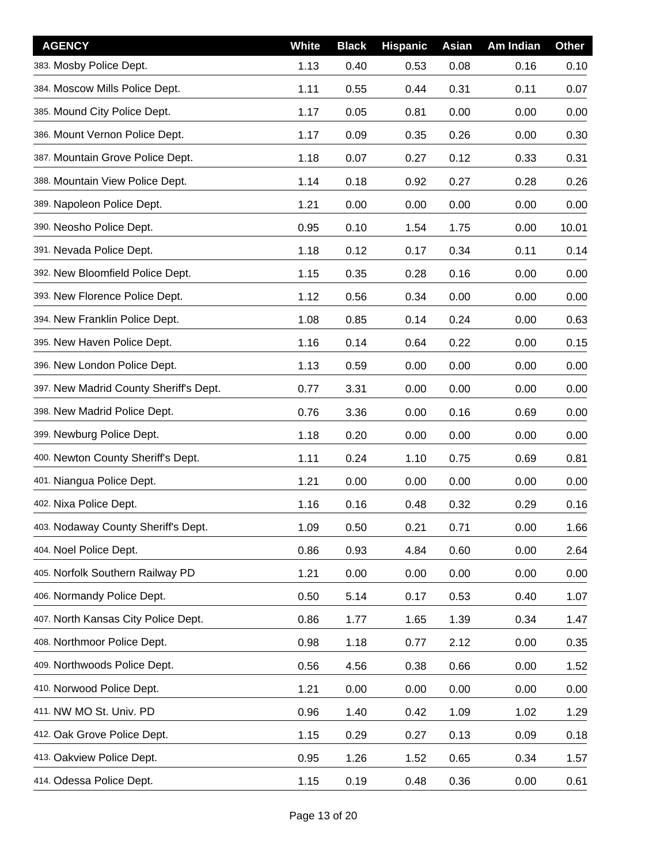| <b>AGENCY</b>                          | White | <b>Black</b> | <b>Hispanic</b> | <b>Asian</b> | Am Indian | <b>Other</b> |
|----------------------------------------|-------|--------------|-----------------|--------------|-----------|--------------|
| 383. Mosby Police Dept.                | 1.13  | 0.40         | 0.53            | 0.08         | 0.16      | 0.10         |
| 384. Moscow Mills Police Dept.         | 1.11  | 0.55         | 0.44            | 0.31         | 0.11      | 0.07         |
| 385. Mound City Police Dept.           | 1.17  | 0.05         | 0.81            | 0.00         | 0.00      | 0.00         |
| 386. Mount Vernon Police Dept.         | 1.17  | 0.09         | 0.35            | 0.26         | 0.00      | 0.30         |
| 387. Mountain Grove Police Dept.       | 1.18  | 0.07         | 0.27            | 0.12         | 0.33      | 0.31         |
| 388. Mountain View Police Dept.        | 1.14  | 0.18         | 0.92            | 0.27         | 0.28      | 0.26         |
| 389. Napoleon Police Dept.             | 1.21  | 0.00         | 0.00            | 0.00         | 0.00      | 0.00         |
| 390. Neosho Police Dept.               | 0.95  | 0.10         | 1.54            | 1.75         | 0.00      | 10.01        |
| 391. Nevada Police Dept.               | 1.18  | 0.12         | 0.17            | 0.34         | 0.11      | 0.14         |
| 392. New Bloomfield Police Dept.       | 1.15  | 0.35         | 0.28            | 0.16         | 0.00      | 0.00         |
| 393. New Florence Police Dept.         | 1.12  | 0.56         | 0.34            | 0.00         | 0.00      | 0.00         |
| 394. New Franklin Police Dept.         | 1.08  | 0.85         | 0.14            | 0.24         | 0.00      | 0.63         |
| 395. New Haven Police Dept.            | 1.16  | 0.14         | 0.64            | 0.22         | 0.00      | 0.15         |
| 396. New London Police Dept.           | 1.13  | 0.59         | 0.00            | 0.00         | 0.00      | 0.00         |
| 397. New Madrid County Sheriff's Dept. | 0.77  | 3.31         | 0.00            | 0.00         | 0.00      | 0.00         |
| 398. New Madrid Police Dept.           | 0.76  | 3.36         | 0.00            | 0.16         | 0.69      | 0.00         |
| 399. Newburg Police Dept.              | 1.18  | 0.20         | 0.00            | 0.00         | 0.00      | 0.00         |
| 400. Newton County Sheriff's Dept.     | 1.11  | 0.24         | 1.10            | 0.75         | 0.69      | 0.81         |
| 401. Niangua Police Dept.              | 1.21  | 0.00         | 0.00            | 0.00         | 0.00      | 0.00         |
| 402. Nixa Police Dept.                 | 1.16  | 0.16         | 0.48            | 0.32         | 0.29      | 0.16         |
| 403. Nodaway County Sheriff's Dept.    | 1.09  | 0.50         | 0.21            | 0.71         | 0.00      | 1.66         |
| 404. Noel Police Dept.                 | 0.86  | 0.93         | 4.84            | 0.60         | 0.00      | 2.64         |
| 405. Norfolk Southern Railway PD       | 1.21  | 0.00         | 0.00            | 0.00         | 0.00      | 0.00         |
| 406. Normandy Police Dept.             | 0.50  | 5.14         | 0.17            | 0.53         | 0.40      | 1.07         |
| 407. North Kansas City Police Dept.    | 0.86  | 1.77         | 1.65            | 1.39         | 0.34      | 1.47         |
| 408. Northmoor Police Dept.            | 0.98  | 1.18         | 0.77            | 2.12         | 0.00      | 0.35         |
| 409. Northwoods Police Dept.           | 0.56  | 4.56         | 0.38            | 0.66         | 0.00      | 1.52         |
| 410. Norwood Police Dept.              | 1.21  | 0.00         | 0.00            | 0.00         | 0.00      | 0.00         |
| 411. NW MO St. Univ. PD                | 0.96  | 1.40         | 0.42            | 1.09         | 1.02      | 1.29         |
| 412. Oak Grove Police Dept.            | 1.15  | 0.29         | 0.27            | 0.13         | 0.09      | 0.18         |
| 413. Oakview Police Dept.              | 0.95  | 1.26         | 1.52            | 0.65         | 0.34      | 1.57         |
| 414. Odessa Police Dept.               | 1.15  | 0.19         | 0.48            | 0.36         | 0.00      | 0.61         |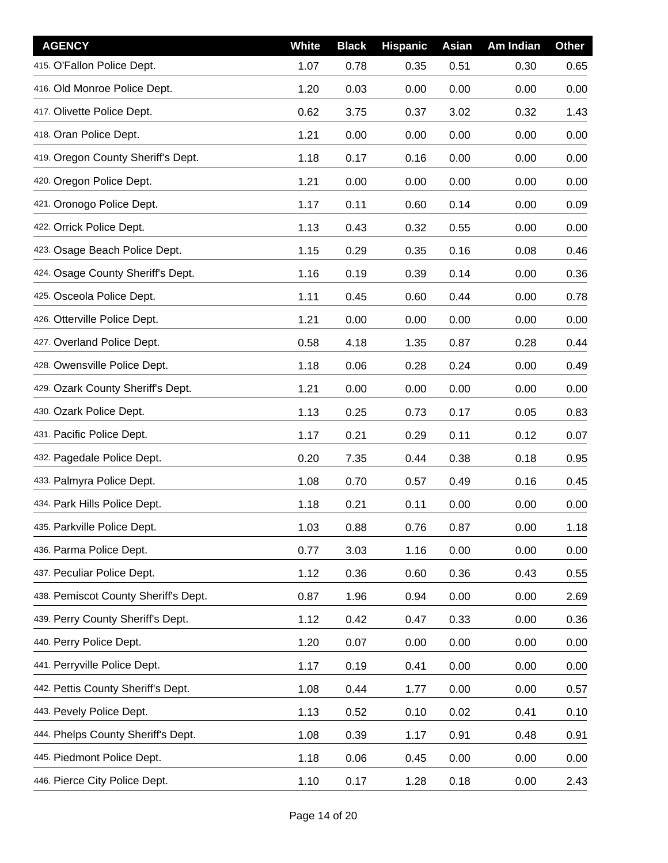| <b>AGENCY</b>                        | <b>White</b> | <b>Black</b> | <b>Hispanic</b> | Asian | Am Indian | <b>Other</b> |
|--------------------------------------|--------------|--------------|-----------------|-------|-----------|--------------|
| 415. O'Fallon Police Dept.           | 1.07         | 0.78         | 0.35            | 0.51  | 0.30      | 0.65         |
| 416. Old Monroe Police Dept.         | 1.20         | 0.03         | 0.00            | 0.00  | 0.00      | 0.00         |
| 417. Olivette Police Dept.           | 0.62         | 3.75         | 0.37            | 3.02  | 0.32      | 1.43         |
| 418. Oran Police Dept.               | 1.21         | 0.00         | 0.00            | 0.00  | 0.00      | 0.00         |
| 419. Oregon County Sheriff's Dept.   | 1.18         | 0.17         | 0.16            | 0.00  | 0.00      | 0.00         |
| 420. Oregon Police Dept.             | 1.21         | 0.00         | 0.00            | 0.00  | 0.00      | 0.00         |
| 421. Oronogo Police Dept.            | 1.17         | 0.11         | 0.60            | 0.14  | 0.00      | 0.09         |
| 422. Orrick Police Dept.             | 1.13         | 0.43         | 0.32            | 0.55  | 0.00      | 0.00         |
| 423. Osage Beach Police Dept.        | 1.15         | 0.29         | 0.35            | 0.16  | 0.08      | 0.46         |
| 424. Osage County Sheriff's Dept.    | 1.16         | 0.19         | 0.39            | 0.14  | 0.00      | 0.36         |
| 425. Osceola Police Dept.            | 1.11         | 0.45         | 0.60            | 0.44  | 0.00      | 0.78         |
| 426. Otterville Police Dept.         | 1.21         | 0.00         | 0.00            | 0.00  | 0.00      | 0.00         |
| 427. Overland Police Dept.           | 0.58         | 4.18         | 1.35            | 0.87  | 0.28      | 0.44         |
| 428. Owensville Police Dept.         | 1.18         | 0.06         | 0.28            | 0.24  | 0.00      | 0.49         |
| 429. Ozark County Sheriff's Dept.    | 1.21         | 0.00         | 0.00            | 0.00  | 0.00      | 0.00         |
| 430. Ozark Police Dept.              | 1.13         | 0.25         | 0.73            | 0.17  | 0.05      | 0.83         |
| 431. Pacific Police Dept.            | 1.17         | 0.21         | 0.29            | 0.11  | 0.12      | 0.07         |
| 432. Pagedale Police Dept.           | 0.20         | 7.35         | 0.44            | 0.38  | 0.18      | 0.95         |
| 433. Palmyra Police Dept.            | 1.08         | 0.70         | 0.57            | 0.49  | 0.16      | 0.45         |
| 434. Park Hills Police Dept.         | 1.18         | 0.21         | 0.11            | 0.00  | 0.00      | 0.00         |
| 435. Parkville Police Dept.          | 1.03         | 0.88         | 0.76            | 0.87  | 0.00      | 1.18         |
| 436. Parma Police Dept.              | 0.77         | 3.03         | 1.16            | 0.00  | 0.00      | 0.00         |
| 437. Peculiar Police Dept.           | 1.12         | 0.36         | 0.60            | 0.36  | 0.43      | 0.55         |
| 438. Pemiscot County Sheriff's Dept. | 0.87         | 1.96         | 0.94            | 0.00  | 0.00      | 2.69         |
| 439. Perry County Sheriff's Dept.    | 1.12         | 0.42         | 0.47            | 0.33  | 0.00      | 0.36         |
| 440. Perry Police Dept.              | 1.20         | 0.07         | 0.00            | 0.00  | 0.00      | 0.00         |
| 441. Perryville Police Dept.         | 1.17         | 0.19         | 0.41            | 0.00  | 0.00      | 0.00         |
| 442. Pettis County Sheriff's Dept.   | 1.08         | 0.44         | 1.77            | 0.00  | 0.00      | 0.57         |
| 443. Pevely Police Dept.             | 1.13         | 0.52         | 0.10            | 0.02  | 0.41      | 0.10         |
| 444. Phelps County Sheriff's Dept.   | 1.08         | 0.39         | 1.17            | 0.91  | 0.48      | 0.91         |
| 445. Piedmont Police Dept.           | 1.18         | 0.06         | 0.45            | 0.00  | 0.00      | 0.00         |
| 446. Pierce City Police Dept.        | 1.10         | 0.17         | 1.28            | 0.18  | 0.00      | 2.43         |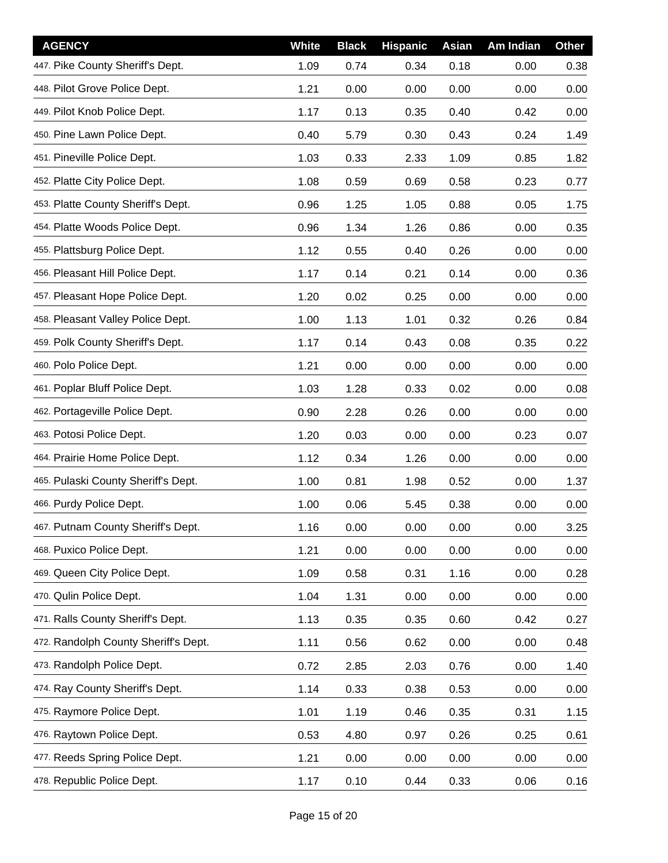| <b>AGENCY</b>                        | White | <b>Black</b> | <b>Hispanic</b> | Asian | Am Indian | <b>Other</b> |
|--------------------------------------|-------|--------------|-----------------|-------|-----------|--------------|
| 447. Pike County Sheriff's Dept.     | 1.09  | 0.74         | 0.34            | 0.18  | 0.00      | 0.38         |
| 448. Pilot Grove Police Dept.        | 1.21  | 0.00         | 0.00            | 0.00  | 0.00      | 0.00         |
| 449. Pilot Knob Police Dept.         | 1.17  | 0.13         | 0.35            | 0.40  | 0.42      | 0.00         |
| 450. Pine Lawn Police Dept.          | 0.40  | 5.79         | 0.30            | 0.43  | 0.24      | 1.49         |
| 451. Pineville Police Dept.          | 1.03  | 0.33         | 2.33            | 1.09  | 0.85      | 1.82         |
| 452. Platte City Police Dept.        | 1.08  | 0.59         | 0.69            | 0.58  | 0.23      | 0.77         |
| 453. Platte County Sheriff's Dept.   | 0.96  | 1.25         | 1.05            | 0.88  | 0.05      | 1.75         |
| 454. Platte Woods Police Dept.       | 0.96  | 1.34         | 1.26            | 0.86  | 0.00      | 0.35         |
| 455. Plattsburg Police Dept.         | 1.12  | 0.55         | 0.40            | 0.26  | 0.00      | 0.00         |
| 456. Pleasant Hill Police Dept.      | 1.17  | 0.14         | 0.21            | 0.14  | 0.00      | 0.36         |
| 457. Pleasant Hope Police Dept.      | 1.20  | 0.02         | 0.25            | 0.00  | 0.00      | 0.00         |
| 458. Pleasant Valley Police Dept.    | 1.00  | 1.13         | 1.01            | 0.32  | 0.26      | 0.84         |
| 459. Polk County Sheriff's Dept.     | 1.17  | 0.14         | 0.43            | 0.08  | 0.35      | 0.22         |
| 460. Polo Police Dept.               | 1.21  | 0.00         | 0.00            | 0.00  | 0.00      | 0.00         |
| 461. Poplar Bluff Police Dept.       | 1.03  | 1.28         | 0.33            | 0.02  | 0.00      | 0.08         |
| 462. Portageville Police Dept.       | 0.90  | 2.28         | 0.26            | 0.00  | 0.00      | 0.00         |
| 463. Potosi Police Dept.             | 1.20  | 0.03         | 0.00            | 0.00  | 0.23      | 0.07         |
| 464. Prairie Home Police Dept.       | 1.12  | 0.34         | 1.26            | 0.00  | 0.00      | 0.00         |
| 465. Pulaski County Sheriff's Dept.  | 1.00  | 0.81         | 1.98            | 0.52  | 0.00      | 1.37         |
| 466. Purdy Police Dept.              | 1.00  | 0.06         | 5.45            | 0.38  | 0.00      | 0.00         |
| 467. Putnam County Sheriff's Dept.   | 1.16  | 0.00         | 0.00            | 0.00  | 0.00      | 3.25         |
| 468. Puxico Police Dept.             | 1.21  | 0.00         | 0.00            | 0.00  | 0.00      | 0.00         |
| 469. Queen City Police Dept.         | 1.09  | 0.58         | 0.31            | 1.16  | 0.00      | 0.28         |
| 470. Qulin Police Dept.              | 1.04  | 1.31         | 0.00            | 0.00  | 0.00      | 0.00         |
| 471. Ralls County Sheriff's Dept.    | 1.13  | 0.35         | 0.35            | 0.60  | 0.42      | 0.27         |
| 472. Randolph County Sheriff's Dept. | 1.11  | 0.56         | 0.62            | 0.00  | 0.00      | 0.48         |
| 473. Randolph Police Dept.           | 0.72  | 2.85         | 2.03            | 0.76  | 0.00      | 1.40         |
| 474. Ray County Sheriff's Dept.      | 1.14  | 0.33         | 0.38            | 0.53  | 0.00      | 0.00         |
| 475. Raymore Police Dept.            | 1.01  | 1.19         | 0.46            | 0.35  | 0.31      | 1.15         |
| 476. Raytown Police Dept.            | 0.53  | 4.80         | 0.97            | 0.26  | 0.25      | 0.61         |
| 477. Reeds Spring Police Dept.       | 1.21  | 0.00         | 0.00            | 0.00  | 0.00      | 0.00         |
| 478. Republic Police Dept.           | 1.17  | 0.10         | 0.44            | 0.33  | 0.06      | 0.16         |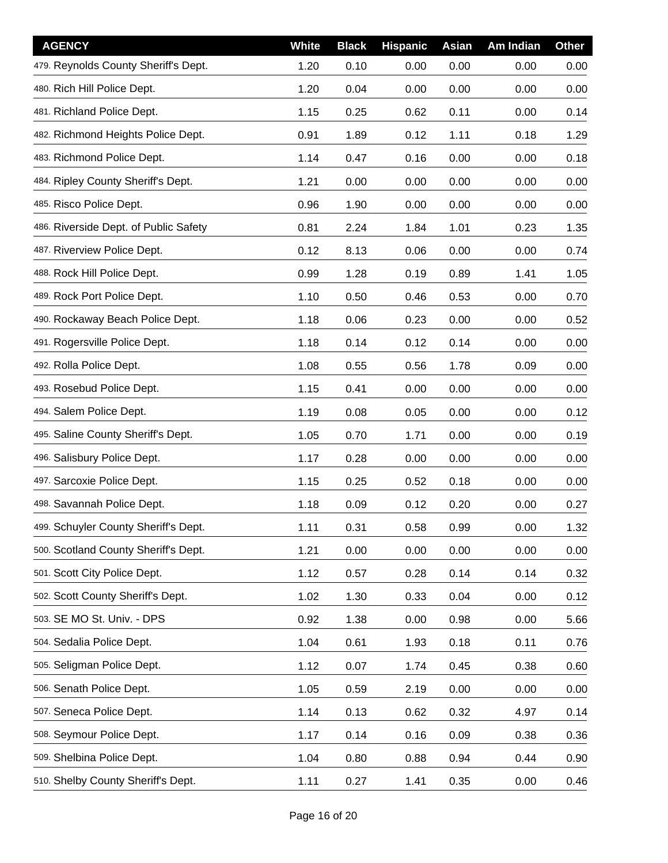| <b>AGENCY</b>                         | White | <b>Black</b> | <b>Hispanic</b> | Asian | Am Indian | <b>Other</b> |
|---------------------------------------|-------|--------------|-----------------|-------|-----------|--------------|
| 479. Reynolds County Sheriff's Dept.  | 1.20  | 0.10         | 0.00            | 0.00  | 0.00      | 0.00         |
| 480. Rich Hill Police Dept.           | 1.20  | 0.04         | 0.00            | 0.00  | 0.00      | 0.00         |
| 481. Richland Police Dept.            | 1.15  | 0.25         | 0.62            | 0.11  | 0.00      | 0.14         |
| 482. Richmond Heights Police Dept.    | 0.91  | 1.89         | 0.12            | 1.11  | 0.18      | 1.29         |
| 483. Richmond Police Dept.            | 1.14  | 0.47         | 0.16            | 0.00  | 0.00      | 0.18         |
| 484. Ripley County Sheriff's Dept.    | 1.21  | 0.00         | 0.00            | 0.00  | 0.00      | 0.00         |
| 485. Risco Police Dept.               | 0.96  | 1.90         | 0.00            | 0.00  | 0.00      | 0.00         |
| 486. Riverside Dept. of Public Safety | 0.81  | 2.24         | 1.84            | 1.01  | 0.23      | 1.35         |
| 487. Riverview Police Dept.           | 0.12  | 8.13         | 0.06            | 0.00  | 0.00      | 0.74         |
| 488. Rock Hill Police Dept.           | 0.99  | 1.28         | 0.19            | 0.89  | 1.41      | 1.05         |
| 489. Rock Port Police Dept.           | 1.10  | 0.50         | 0.46            | 0.53  | 0.00      | 0.70         |
| 490. Rockaway Beach Police Dept.      | 1.18  | 0.06         | 0.23            | 0.00  | 0.00      | 0.52         |
| 491. Rogersville Police Dept.         | 1.18  | 0.14         | 0.12            | 0.14  | 0.00      | 0.00         |
| 492. Rolla Police Dept.               | 1.08  | 0.55         | 0.56            | 1.78  | 0.09      | 0.00         |
| 493. Rosebud Police Dept.             | 1.15  | 0.41         | 0.00            | 0.00  | 0.00      | 0.00         |
| 494. Salem Police Dept.               | 1.19  | 0.08         | 0.05            | 0.00  | 0.00      | 0.12         |
| 495. Saline County Sheriff's Dept.    | 1.05  | 0.70         | 1.71            | 0.00  | 0.00      | 0.19         |
| 496. Salisbury Police Dept.           | 1.17  | 0.28         | 0.00            | 0.00  | 0.00      | 0.00         |
| 497. Sarcoxie Police Dept.            | 1.15  | 0.25         | 0.52            | 0.18  | 0.00      | 0.00         |
| 498. Savannah Police Dept.            | 1.18  | 0.09         | 0.12            | 0.20  | 0.00      | 0.27         |
| 499. Schuyler County Sheriff's Dept.  | 1.11  | 0.31         | 0.58            | 0.99  | 0.00      | 1.32         |
| 500. Scotland County Sheriff's Dept.  | 1.21  | 0.00         | 0.00            | 0.00  | 0.00      | 0.00         |
| 501. Scott City Police Dept.          | 1.12  | 0.57         | 0.28            | 0.14  | 0.14      | 0.32         |
| 502. Scott County Sheriff's Dept.     | 1.02  | 1.30         | 0.33            | 0.04  | 0.00      | 0.12         |
| 503. SE MO St. Univ. - DPS            | 0.92  | 1.38         | 0.00            | 0.98  | 0.00      | 5.66         |
| 504. Sedalia Police Dept.             | 1.04  | 0.61         | 1.93            | 0.18  | 0.11      | 0.76         |
| 505. Seligman Police Dept.            | 1.12  | 0.07         | 1.74            | 0.45  | 0.38      | 0.60         |
| 506. Senath Police Dept.              | 1.05  | 0.59         | 2.19            | 0.00  | 0.00      | 0.00         |
| 507. Seneca Police Dept.              | 1.14  | 0.13         | 0.62            | 0.32  | 4.97      | 0.14         |
| 508. Seymour Police Dept.             | 1.17  | 0.14         | 0.16            | 0.09  | 0.38      | 0.36         |
| 509. Shelbina Police Dept.            | 1.04  | 0.80         | 0.88            | 0.94  | 0.44      | 0.90         |
| 510. Shelby County Sheriff's Dept.    | 1.11  | 0.27         | 1.41            | 0.35  | 0.00      | 0.46         |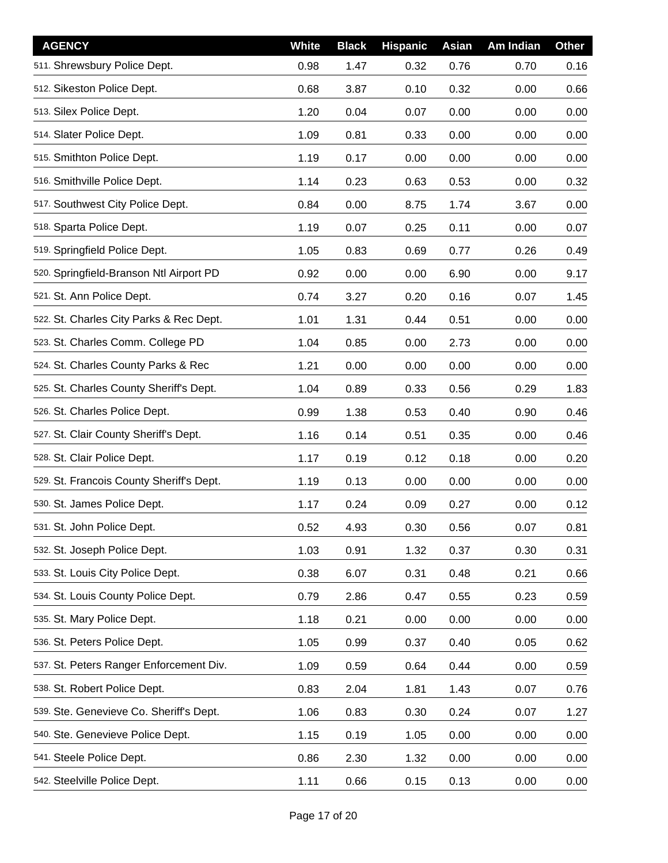| <b>AGENCY</b>                            | White | <b>Black</b> | <b>Hispanic</b> | Asian | Am Indian | <b>Other</b> |
|------------------------------------------|-------|--------------|-----------------|-------|-----------|--------------|
| 511. Shrewsbury Police Dept.             | 0.98  | 1.47         | 0.32            | 0.76  | 0.70      | 0.16         |
| 512. Sikeston Police Dept.               | 0.68  | 3.87         | 0.10            | 0.32  | 0.00      | 0.66         |
| 513. Silex Police Dept.                  | 1.20  | 0.04         | 0.07            | 0.00  | 0.00      | 0.00         |
| 514. Slater Police Dept.                 | 1.09  | 0.81         | 0.33            | 0.00  | 0.00      | 0.00         |
| 515. Smithton Police Dept.               | 1.19  | 0.17         | 0.00            | 0.00  | 0.00      | 0.00         |
| 516. Smithville Police Dept.             | 1.14  | 0.23         | 0.63            | 0.53  | 0.00      | 0.32         |
| 517. Southwest City Police Dept.         | 0.84  | 0.00         | 8.75            | 1.74  | 3.67      | 0.00         |
| 518. Sparta Police Dept.                 | 1.19  | 0.07         | 0.25            | 0.11  | 0.00      | 0.07         |
| 519. Springfield Police Dept.            | 1.05  | 0.83         | 0.69            | 0.77  | 0.26      | 0.49         |
| 520. Springfield-Branson Ntl Airport PD  | 0.92  | 0.00         | 0.00            | 6.90  | 0.00      | 9.17         |
| 521. St. Ann Police Dept.                | 0.74  | 3.27         | 0.20            | 0.16  | 0.07      | 1.45         |
| 522. St. Charles City Parks & Rec Dept.  | 1.01  | 1.31         | 0.44            | 0.51  | 0.00      | 0.00         |
| 523. St. Charles Comm. College PD        | 1.04  | 0.85         | 0.00            | 2.73  | 0.00      | 0.00         |
| 524. St. Charles County Parks & Rec      | 1.21  | 0.00         | 0.00            | 0.00  | 0.00      | 0.00         |
| 525. St. Charles County Sheriff's Dept.  | 1.04  | 0.89         | 0.33            | 0.56  | 0.29      | 1.83         |
| 526. St. Charles Police Dept.            | 0.99  | 1.38         | 0.53            | 0.40  | 0.90      | 0.46         |
| 527. St. Clair County Sheriff's Dept.    | 1.16  | 0.14         | 0.51            | 0.35  | 0.00      | 0.46         |
| 528. St. Clair Police Dept.              | 1.17  | 0.19         | 0.12            | 0.18  | 0.00      | 0.20         |
| 529. St. Francois County Sheriff's Dept. | 1.19  | 0.13         | 0.00            | 0.00  | 0.00      | 0.00         |
| 530. St. James Police Dept.              | 1.17  | 0.24         | 0.09            | 0.27  | 0.00      | 0.12         |
| 531. St. John Police Dept.               | 0.52  | 4.93         | 0.30            | 0.56  | 0.07      | 0.81         |
| 532. St. Joseph Police Dept.             | 1.03  | 0.91         | 1.32            | 0.37  | 0.30      | 0.31         |
| 533. St. Louis City Police Dept.         | 0.38  | 6.07         | 0.31            | 0.48  | 0.21      | 0.66         |
| 534. St. Louis County Police Dept.       | 0.79  | 2.86         | 0.47            | 0.55  | 0.23      | 0.59         |
| 535. St. Mary Police Dept.               | 1.18  | 0.21         | 0.00            | 0.00  | 0.00      | 0.00         |
| 536. St. Peters Police Dept.             | 1.05  | 0.99         | 0.37            | 0.40  | 0.05      | 0.62         |
| 537. St. Peters Ranger Enforcement Div.  | 1.09  | 0.59         | 0.64            | 0.44  | 0.00      | 0.59         |
| 538. St. Robert Police Dept.             | 0.83  | 2.04         | 1.81            | 1.43  | 0.07      | 0.76         |
| 539. Ste. Genevieve Co. Sheriff's Dept.  | 1.06  | 0.83         | 0.30            | 0.24  | 0.07      | 1.27         |
| 540. Ste. Genevieve Police Dept.         | 1.15  | 0.19         | 1.05            | 0.00  | 0.00      | 0.00         |
| 541. Steele Police Dept.                 | 0.86  | 2.30         | 1.32            | 0.00  | 0.00      | 0.00         |
| 542. Steelville Police Dept.             | 1.11  | 0.66         | 0.15            | 0.13  | 0.00      | 0.00         |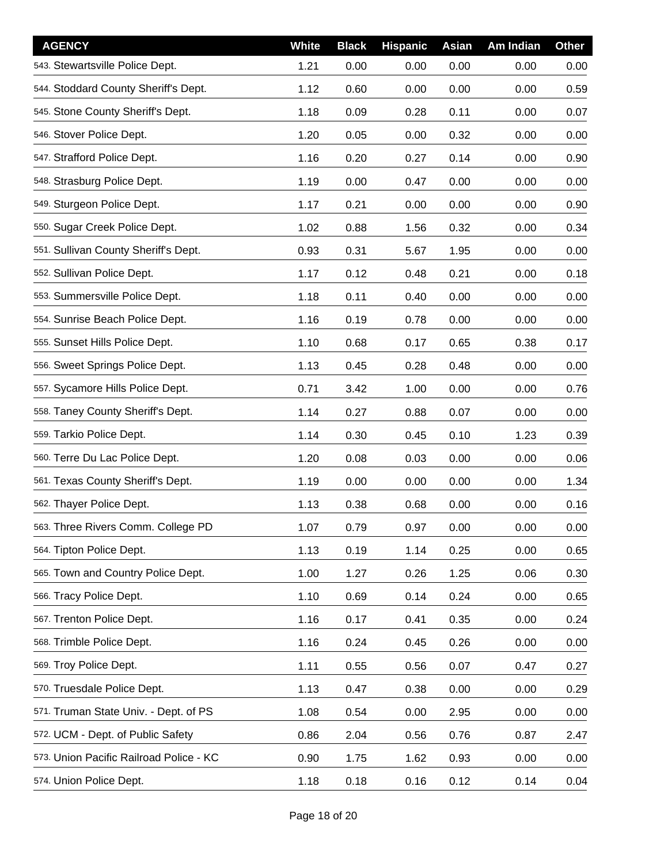| <b>AGENCY</b>                           | <b>White</b> | <b>Black</b> | <b>Hispanic</b> | Asian | Am Indian | <b>Other</b> |
|-----------------------------------------|--------------|--------------|-----------------|-------|-----------|--------------|
| 543. Stewartsville Police Dept.         | 1.21         | 0.00         | 0.00            | 0.00  | 0.00      | 0.00         |
| 544. Stoddard County Sheriff's Dept.    | 1.12         | 0.60         | 0.00            | 0.00  | 0.00      | 0.59         |
| 545. Stone County Sheriff's Dept.       | 1.18         | 0.09         | 0.28            | 0.11  | 0.00      | 0.07         |
| 546. Stover Police Dept.                | 1.20         | 0.05         | 0.00            | 0.32  | 0.00      | 0.00         |
| 547. Strafford Police Dept.             | 1.16         | 0.20         | 0.27            | 0.14  | 0.00      | 0.90         |
| 548. Strasburg Police Dept.             | 1.19         | 0.00         | 0.47            | 0.00  | 0.00      | 0.00         |
| 549. Sturgeon Police Dept.              | 1.17         | 0.21         | 0.00            | 0.00  | 0.00      | 0.90         |
| 550. Sugar Creek Police Dept.           | 1.02         | 0.88         | 1.56            | 0.32  | 0.00      | 0.34         |
| 551. Sullivan County Sheriff's Dept.    | 0.93         | 0.31         | 5.67            | 1.95  | 0.00      | 0.00         |
| 552. Sullivan Police Dept.              | 1.17         | 0.12         | 0.48            | 0.21  | 0.00      | 0.18         |
| 553. Summersville Police Dept.          | 1.18         | 0.11         | 0.40            | 0.00  | 0.00      | 0.00         |
| 554. Sunrise Beach Police Dept.         | 1.16         | 0.19         | 0.78            | 0.00  | 0.00      | 0.00         |
| 555. Sunset Hills Police Dept.          | 1.10         | 0.68         | 0.17            | 0.65  | 0.38      | 0.17         |
| 556. Sweet Springs Police Dept.         | 1.13         | 0.45         | 0.28            | 0.48  | 0.00      | 0.00         |
| 557. Sycamore Hills Police Dept.        | 0.71         | 3.42         | 1.00            | 0.00  | 0.00      | 0.76         |
| 558. Taney County Sheriff's Dept.       | 1.14         | 0.27         | 0.88            | 0.07  | 0.00      | 0.00         |
| 559. Tarkio Police Dept.                | 1.14         | 0.30         | 0.45            | 0.10  | 1.23      | 0.39         |
| 560. Terre Du Lac Police Dept.          | 1.20         | 0.08         | 0.03            | 0.00  | 0.00      | 0.06         |
| 561. Texas County Sheriff's Dept.       | 1.19         | 0.00         | 0.00            | 0.00  | 0.00      | 1.34         |
| 562. Thayer Police Dept.                | 1.13         | 0.38         | 0.68            | 0.00  | 0.00      | 0.16         |
| 563. Three Rivers Comm. College PD      | 1.07         | 0.79         | 0.97            | 0.00  | 0.00      | 0.00         |
| 564. Tipton Police Dept.                | 1.13         | 0.19         | 1.14            | 0.25  | 0.00      | 0.65         |
| 565. Town and Country Police Dept.      | 1.00         | 1.27         | 0.26            | 1.25  | 0.06      | 0.30         |
| 566. Tracy Police Dept.                 | 1.10         | 0.69         | 0.14            | 0.24  | 0.00      | 0.65         |
| 567. Trenton Police Dept.               | 1.16         | 0.17         | 0.41            | 0.35  | 0.00      | 0.24         |
| 568. Trimble Police Dept.               | 1.16         | 0.24         | 0.45            | 0.26  | 0.00      | 0.00         |
| 569. Troy Police Dept.                  | 1.11         | 0.55         | 0.56            | 0.07  | 0.47      | 0.27         |
| 570. Truesdale Police Dept.             | 1.13         | 0.47         | 0.38            | 0.00  | 0.00      | 0.29         |
| 571. Truman State Univ. - Dept. of PS   | 1.08         | 0.54         | 0.00            | 2.95  | 0.00      | 0.00         |
| 572. UCM - Dept. of Public Safety       | 0.86         | 2.04         | 0.56            | 0.76  | 0.87      | 2.47         |
| 573. Union Pacific Railroad Police - KC | 0.90         | 1.75         | 1.62            | 0.93  | 0.00      | 0.00         |
| 574. Union Police Dept.                 | 1.18         | 0.18         | 0.16            | 0.12  | 0.14      | 0.04         |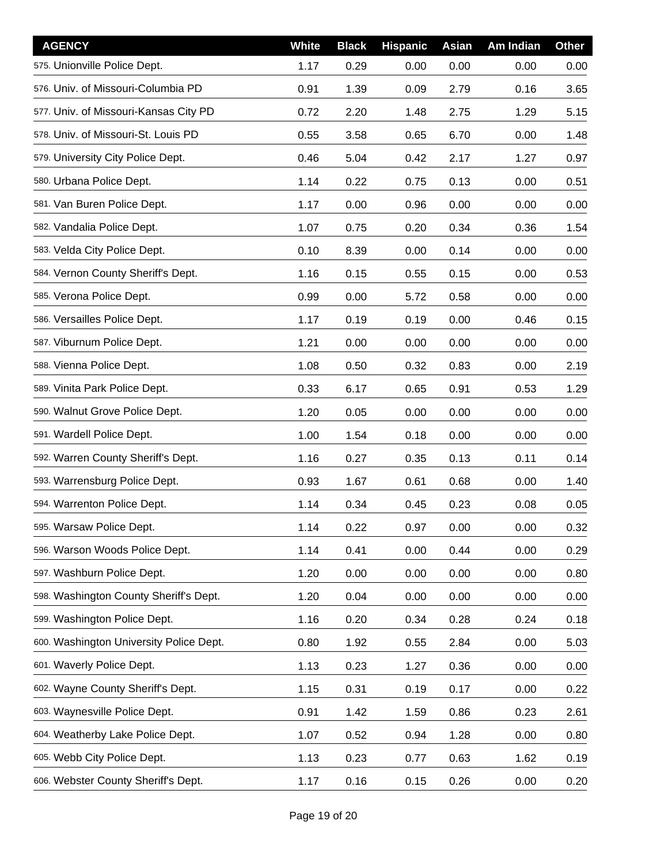| <b>AGENCY</b>                           | <b>White</b> | <b>Black</b> | <b>Hispanic</b> | Asian | Am Indian | <b>Other</b> |
|-----------------------------------------|--------------|--------------|-----------------|-------|-----------|--------------|
| 575. Unionville Police Dept.            | 1.17         | 0.29         | 0.00            | 0.00  | 0.00      | 0.00         |
| 576. Univ. of Missouri-Columbia PD      | 0.91         | 1.39         | 0.09            | 2.79  | 0.16      | 3.65         |
| 577. Univ. of Missouri-Kansas City PD   | 0.72         | 2.20         | 1.48            | 2.75  | 1.29      | 5.15         |
| 578. Univ. of Missouri-St. Louis PD     | 0.55         | 3.58         | 0.65            | 6.70  | 0.00      | 1.48         |
| 579. University City Police Dept.       | 0.46         | 5.04         | 0.42            | 2.17  | 1.27      | 0.97         |
| 580. Urbana Police Dept.                | 1.14         | 0.22         | 0.75            | 0.13  | 0.00      | 0.51         |
| 581. Van Buren Police Dept.             | 1.17         | 0.00         | 0.96            | 0.00  | 0.00      | 0.00         |
| 582. Vandalia Police Dept.              | 1.07         | 0.75         | 0.20            | 0.34  | 0.36      | 1.54         |
| 583. Velda City Police Dept.            | 0.10         | 8.39         | 0.00            | 0.14  | 0.00      | 0.00         |
| 584. Vernon County Sheriff's Dept.      | 1.16         | 0.15         | 0.55            | 0.15  | 0.00      | 0.53         |
| 585. Verona Police Dept.                | 0.99         | 0.00         | 5.72            | 0.58  | 0.00      | 0.00         |
| 586. Versailles Police Dept.            | 1.17         | 0.19         | 0.19            | 0.00  | 0.46      | 0.15         |
| 587. Viburnum Police Dept.              | 1.21         | 0.00         | 0.00            | 0.00  | 0.00      | 0.00         |
| 588. Vienna Police Dept.                | 1.08         | 0.50         | 0.32            | 0.83  | 0.00      | 2.19         |
| 589. Vinita Park Police Dept.           | 0.33         | 6.17         | 0.65            | 0.91  | 0.53      | 1.29         |
| 590. Walnut Grove Police Dept.          | 1.20         | 0.05         | 0.00            | 0.00  | 0.00      | 0.00         |
| 591. Wardell Police Dept.               | 1.00         | 1.54         | 0.18            | 0.00  | 0.00      | 0.00         |
| 592. Warren County Sheriff's Dept.      | 1.16         | 0.27         | 0.35            | 0.13  | 0.11      | 0.14         |
| 593. Warrensburg Police Dept.           | 0.93         | 1.67         | 0.61            | 0.68  | 0.00      | 1.40         |
| 594. Warrenton Police Dept.             | 1.14         | 0.34         | 0.45            | 0.23  | 0.08      | 0.05         |
| 595. Warsaw Police Dept.                | 1.14         | 0.22         | 0.97            | 0.00  | 0.00      | 0.32         |
| 596. Warson Woods Police Dept.          | 1.14         | 0.41         | 0.00            | 0.44  | 0.00      | 0.29         |
| 597. Washburn Police Dept.              | 1.20         | 0.00         | 0.00            | 0.00  | 0.00      | 0.80         |
| 598. Washington County Sheriff's Dept.  | 1.20         | 0.04         | 0.00            | 0.00  | 0.00      | 0.00         |
| 599. Washington Police Dept.            | 1.16         | 0.20         | 0.34            | 0.28  | 0.24      | 0.18         |
| 600. Washington University Police Dept. | 0.80         | 1.92         | 0.55            | 2.84  | 0.00      | 5.03         |
| 601. Waverly Police Dept.               | 1.13         | 0.23         | 1.27            | 0.36  | 0.00      | 0.00         |
| 602. Wayne County Sheriff's Dept.       | 1.15         | 0.31         | 0.19            | 0.17  | 0.00      | 0.22         |
| 603. Waynesville Police Dept.           | 0.91         | 1.42         | 1.59            | 0.86  | 0.23      | 2.61         |
| 604. Weatherby Lake Police Dept.        | 1.07         | 0.52         | 0.94            | 1.28  | 0.00      | 0.80         |
| 605. Webb City Police Dept.             | 1.13         | 0.23         | 0.77            | 0.63  | 1.62      | 0.19         |
| 606. Webster County Sheriff's Dept.     | 1.17         | 0.16         | 0.15            | 0.26  | 0.00      | 0.20         |